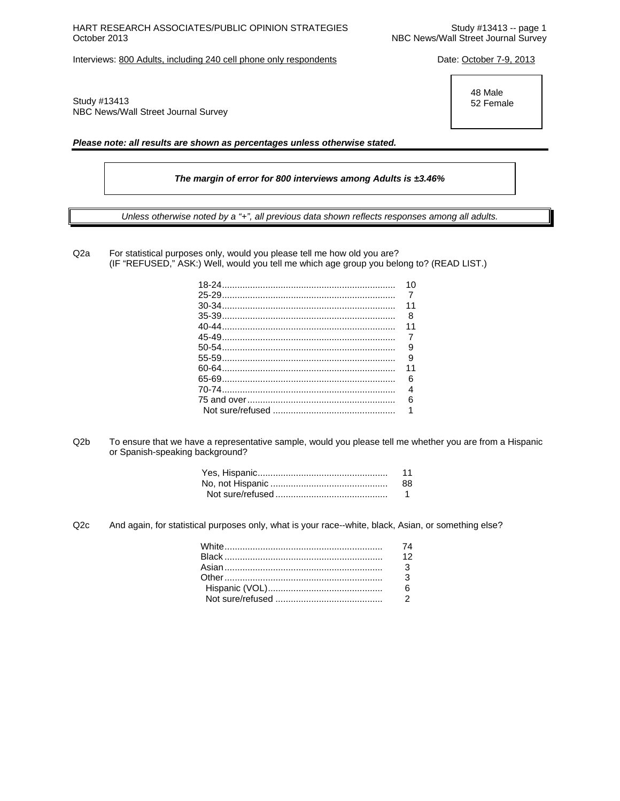# HART RESEARCH ASSOCIATES/PUBLIC OPINION STRATEGIES<br>October 2013 -- page 1<br>NBC News/Wall Street Journal Survey

Interviews: 800 Adults, including 240 cell phone only respondents Date: October 7-9, 2013

Study #13413 NBC News/Wall Street Journal Survey

*Please note: all results are shown as percentages unless otherwise stated.* 

*The margin of error for 800 interviews among Adults is ±3.46%* 

*Unless otherwise noted by a "+", all previous data shown reflects responses among all adults.* 

Q2a For statistical purposes only, would you please tell me how old you are? (IF "REFUSED," ASK:) Well, would you tell me which age group you belong to? (READ LIST.)

| 10             |
|----------------|
|                |
| 11             |
|                |
| 11             |
|                |
|                |
|                |
| 11             |
| 6              |
| $\overline{4}$ |
| 6              |
| 1              |
|                |

Q2b To ensure that we have a representative sample, would you please tell me whether you are from a Hispanic or Spanish-speaking background?

| 11  |
|-----|
| 88. |
|     |

Q2c And again, for statistical purposes only, what is your race--white, black, Asian, or something else?

| 12 |
|----|
|    |
|    |
|    |
|    |

 48 Male 52 Female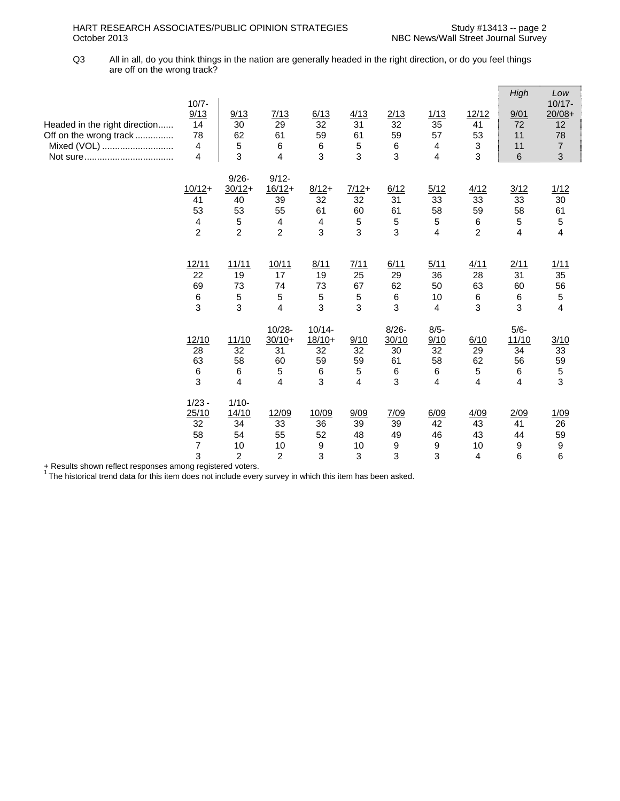Q3 All in all, do you think things in the nation are generally headed in the right direction, or do you feel things are off on the wrong track?

| Headed in the right direction<br>Off on the wrong track<br>Mixed (VOL) | $10/7 -$<br>9/13<br>14<br>78<br>4<br>4                            | 9/13<br>30<br>62<br>5<br>3                                       | 7/13<br>29<br>61<br>6<br>$\overline{4}$                                       | 6/13<br>32<br>59<br>6<br>3                  | 4/13<br>31<br>61<br>5<br>3    | 2/13<br>32<br>59<br>$\,6\,$<br>3        | 1/13<br>35<br>57<br>4<br>$\overline{4}$          | 12/12<br>41<br>53<br>$\sqrt{3}$<br>3             | High<br>9/01<br>72<br>11<br>11<br>6                 | Low<br>$10/17 -$<br>$20/08+$<br>12<br>78<br>$\overline{7}$<br>3 |
|------------------------------------------------------------------------|-------------------------------------------------------------------|------------------------------------------------------------------|-------------------------------------------------------------------------------|---------------------------------------------|-------------------------------|-----------------------------------------|--------------------------------------------------|--------------------------------------------------|-----------------------------------------------------|-----------------------------------------------------------------|
|                                                                        | $10/12+$<br>41<br>53<br>$\overline{\mathbf{4}}$<br>$\overline{2}$ | $9/26 -$<br>$30/12+$<br>40<br>53<br>$\sqrt{5}$<br>$\overline{2}$ | $9/12 -$<br>$16/12+$<br>39<br>55<br>$\overline{\mathbf{4}}$<br>$\overline{2}$ | $8/12+$<br>32<br>61<br>4<br>3               | $7/12+$<br>32<br>60<br>5<br>3 | 6/12<br>31<br>61<br>5<br>3              | 5/12<br>33<br>58<br>5<br>$\overline{\mathbf{4}}$ | 4/12<br>33<br>59<br>6<br>$\overline{2}$          | 3/12<br>33<br>58<br>5<br>$\overline{4}$             | 1/12<br>30<br>61<br>5<br>$\overline{\mathbf{4}}$                |
|                                                                        | 12/11<br>22<br>69<br>$\,6\,$<br>3                                 | 11/11<br>19<br>73<br>5<br>3                                      | 10/11<br>17<br>74<br>5<br>$\overline{4}$                                      | 8/11<br>19<br>73<br>5<br>3                  | 7/11<br>25<br>67<br>5<br>3    | 6/11<br>29<br>62<br>6<br>3              | 5/11<br>36<br>50<br>10<br>4                      | 4/11<br>28<br>63<br>$\,6\,$<br>3                 | 2/11<br>31<br>60<br>6<br>3                          | 1/11<br>35<br>56<br>5<br>4                                      |
|                                                                        | 12/10<br>28<br>63<br>6<br>3                                       | 11/10<br>32<br>58<br>6<br>$\overline{4}$                         | $10/28 -$<br>$30/10+$<br>31<br>60<br>5<br>$\overline{4}$                      | $10/14 -$<br>$18/10+$<br>32<br>59<br>6<br>3 | 9/10<br>32<br>59<br>5<br>4    | $8/26 -$<br>30/10<br>30<br>61<br>6<br>3 | $8/5 -$<br>9/10<br>32<br>58<br>6<br>4            | 6/10<br>29<br>62<br>5<br>$\overline{\mathbf{4}}$ | $5/6 -$<br>11/10<br>34<br>56<br>6<br>$\overline{4}$ | 3/10<br>33<br>59<br>5<br>3                                      |
|                                                                        | $1/23 -$<br>25/10<br>32<br>58<br>$\overline{7}$<br>3              | $1/10-$<br>14/10<br>34<br>54<br>10<br>$\overline{c}$             | 12/09<br>33<br>55<br>10<br>$\overline{2}$                                     | 10/09<br>36<br>52<br>9<br>3                 | 9/09<br>39<br>48<br>10<br>3   | 7/09<br>39<br>49<br>9<br>3              | 6/09<br>42<br>46<br>9<br>3                       | 4/09<br>43<br>43<br>10<br>$\overline{4}$         | 2/09<br>41<br>44<br>9<br>6                          | 1/09<br>26<br>59<br>9<br>6                                      |

+ Results shown reflect responses among registered voters.<br><sup>1</sup> The historical trend data for this item does not include every survey in which this item has been asked.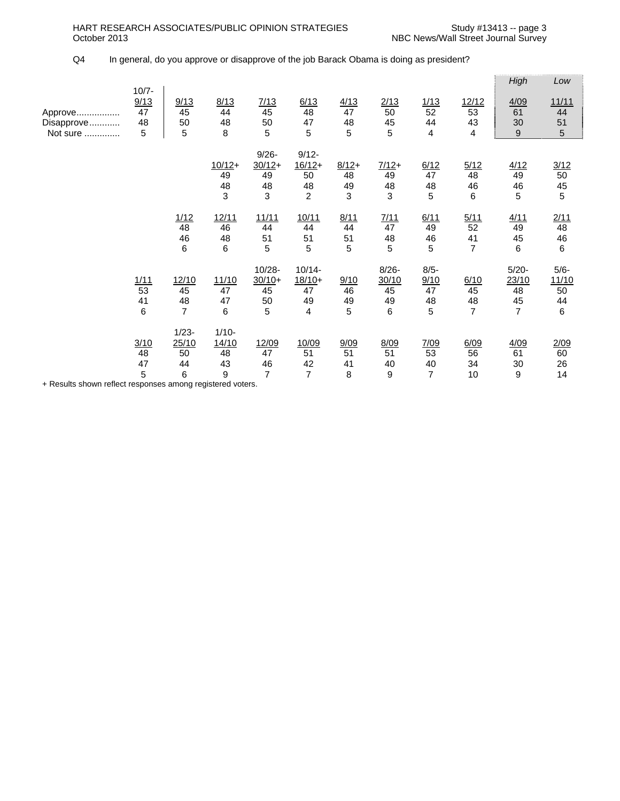## Q4 In general, do you approve or disapprove of the job Barack Obama is doing as president?

|                                   |                                   |                                     |                                   |                                        |                                                    |                          |                                    |                                  |                                    | High                                            | Low                               |
|-----------------------------------|-----------------------------------|-------------------------------------|-----------------------------------|----------------------------------------|----------------------------------------------------|--------------------------|------------------------------------|----------------------------------|------------------------------------|-------------------------------------------------|-----------------------------------|
| Approve<br>Disapprove<br>Not sure | $10/7 -$<br>9/13<br>47<br>48<br>5 | 9/13<br>45<br>50<br>5               | 8/13<br>44<br>48<br>8             | 7/13<br>45<br>50<br>5                  | 6/13<br>48<br>47<br>5                              | 4/13<br>47<br>48<br>5    | 2/13<br>50<br>45<br>5              | 1/13<br>52<br>44<br>4            | 12/12<br>53<br>43<br>4             | 4/09<br>61<br>30<br>$\boldsymbol{9}$            | 11/11<br>44<br>51<br>5            |
|                                   |                                   |                                     | $10/12+$<br>49<br>48<br>3         | $9/26 -$<br>$30/12+$<br>49<br>48<br>3  | $9/12 -$<br>$16/12+$<br>50<br>48<br>$\overline{2}$ | $8/12+$<br>48<br>49<br>3 | $7/12+$<br>49<br>48<br>3           | 6/12<br>47<br>48<br>5            | 5/12<br>48<br>46<br>6              | 4/12<br>49<br>46<br>5                           | 3/12<br>$50\,$<br>45<br>5         |
|                                   |                                   | 1/12<br>48<br>46<br>6               | 12/11<br>46<br>48<br>6            | 11/11<br>44<br>51<br>5                 | 10/11<br>44<br>51<br>5                             | 8/11<br>44<br>51<br>5    | 7/11<br>47<br>48<br>5              | 6/11<br>49<br>46<br>5            | 5/11<br>52<br>41<br>$\overline{7}$ | 4/11<br>49<br>45<br>6                           | 2/11<br>48<br>46<br>6             |
|                                   | 1/11<br>53<br>41<br>6             | 12/10<br>45<br>48<br>$\overline{7}$ | 11/10<br>47<br>47<br>6            | $10/28 -$<br>$30/10+$<br>45<br>50<br>5 | $10/14 -$<br>$18/10+$<br>47<br>49<br>4             | 9/10<br>46<br>49<br>5    | $8/26 -$<br>30/10<br>45<br>49<br>6 | $8/5 -$<br>9/10<br>47<br>48<br>5 | 6/10<br>45<br>48<br>$\overline{7}$ | $5/20 -$<br>23/10<br>48<br>45<br>$\overline{7}$ | $5/6 -$<br>11/10<br>50<br>44<br>6 |
|                                   | 3/10<br>48<br>47<br>5             | $1/23 -$<br>25/10<br>50<br>44<br>6  | $1/10-$<br>14/10<br>48<br>43<br>9 | 12/09<br>47<br>46<br>$\overline{7}$    | 10/09<br>51<br>42<br>$\overline{7}$                | 9/09<br>51<br>41<br>8    | 8/09<br>51<br>40<br>9              | 7/09<br>53<br>40<br>7            | 6/09<br>56<br>34<br>10             | 4/09<br>61<br>30<br>9                           | 2/09<br>60<br>26<br>14            |

+ Results shown reflect responses among registered voters.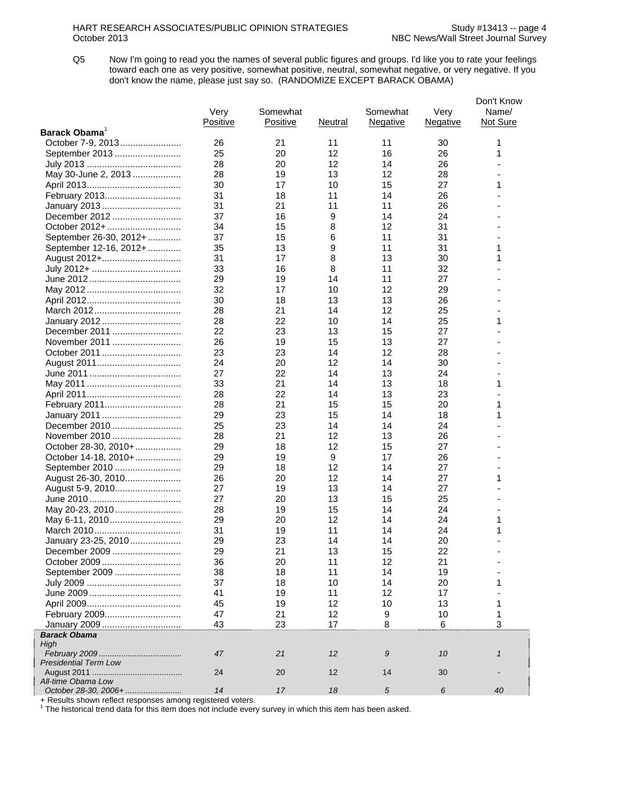Q5 Now I'm going to read you the names of several public figures and groups. I'd like you to rate your feelings toward each one as very positive, somewhat positive, neutral, somewhat negative, or very negative. If you don't know the name, please just say so. (RANDOMIZE EXCEPT BARACK OBAMA)

| Barack Obama<br>October 7-9, 2013<br>21<br>11<br>26<br>11<br>30<br>1<br>25<br>20<br>12<br>16<br>26<br>1<br>September 2013<br>28<br>12<br>26<br>20<br>14<br>May 30-June 2, 2013<br>28<br>19<br>13<br>12<br>28<br>27<br>30<br>17<br>10<br>15<br>1<br>26<br>31<br>11<br>14<br>February 2013<br>18<br>31<br>21<br>11<br>11<br>26<br>January 2013<br>9<br>December 2012<br>37<br>16<br>14<br>24<br>31<br>October 2012+<br>34<br>15<br>8<br>12<br>September 26-30, 2012+<br>37<br>11<br>31<br>15<br>6<br>35<br>13<br>9<br>11<br>31<br>1<br>September 12-16, 2012+<br>31<br>17<br>8<br>13<br>30<br>1<br>August 2012+<br>33<br>8<br>11<br>32<br>16<br>29<br>14<br>11<br>27<br>19<br>32<br>12<br>17<br>10<br>29<br>30<br>18<br>13<br>13<br>26<br>28<br>21<br>12<br>25<br>14<br>25<br>1<br>28<br>22<br>10<br>14<br>January 2012<br>22<br>27<br>December 2011<br>23<br>13<br>15<br>26<br>27<br>November 2011<br>19<br>15<br>13<br>October 2011<br>23<br>23<br>12<br>28<br>14<br>24<br>20<br>12<br>14<br>30<br>27<br>22<br>14<br>13<br>24<br>33<br>21<br>13<br>18<br>1<br>14<br>22<br>23<br>28<br>14<br>13<br>1<br>28<br>21<br>15<br>15<br>20<br>February 2011<br>29<br>23<br>15<br>14<br>18<br>1<br>January 2011<br>December 2010<br>25<br>23<br>24<br>14<br>14<br>November 2010<br>28<br>21<br>12<br>13<br>26<br>12<br>29<br>18<br>15<br>27<br>October 28-30, 2010+<br>9<br>26<br>29<br>19<br>17<br>October 14-18, 2010+<br>29<br>12<br>14<br>27<br>September 2010<br>18<br>27<br>26<br>20<br>12<br>14<br>1<br>August 26-30, 2010<br>27<br>27<br>13<br>14<br>August 5-9, 2010<br>19<br>25<br>27<br>20<br>13<br>15<br>15<br>May 20-23, 2010<br>28<br>19<br>14<br>24<br>1<br>29<br>20<br>12<br>14<br>24<br>May 6-11, 2010<br>31<br>19<br>11<br>24<br>1<br>March 2010<br>14<br>January 23-25, 2010<br>29<br>23<br>20<br>14<br>14<br>15<br>29<br>13<br>22<br>December 2009<br>21<br>21<br>October 2009<br>36<br>20<br>11<br>12<br>September 2009<br>38<br>19<br>18<br>11<br>14<br>37<br>18<br>10<br>14<br>20<br>41<br>19<br>11<br>12<br>17<br>45<br>12<br>13<br>19<br>10<br>1<br>February 2009<br>47<br>21<br>12<br>9<br>10<br>1<br>3<br>January 2009<br>43<br>23<br>8<br>17<br>6<br><b>Barack Obama</b><br>High<br>21<br>47<br>12<br>9<br>10<br>$\mathbf{1}$<br><b>Presidential Term Low</b><br>20<br>12<br>24<br>14<br>30<br>All-time Obama Low<br>October 28-30, 2006+<br>14<br>17<br>18<br>5<br>40<br>6 | Very<br>Positive | Somewhat<br>Positive | Neutral | Somewhat<br><b>Negative</b> | Very<br><b>Negative</b> | Don't Know<br>Name/<br>Not Sure |
|-----------------------------------------------------------------------------------------------------------------------------------------------------------------------------------------------------------------------------------------------------------------------------------------------------------------------------------------------------------------------------------------------------------------------------------------------------------------------------------------------------------------------------------------------------------------------------------------------------------------------------------------------------------------------------------------------------------------------------------------------------------------------------------------------------------------------------------------------------------------------------------------------------------------------------------------------------------------------------------------------------------------------------------------------------------------------------------------------------------------------------------------------------------------------------------------------------------------------------------------------------------------------------------------------------------------------------------------------------------------------------------------------------------------------------------------------------------------------------------------------------------------------------------------------------------------------------------------------------------------------------------------------------------------------------------------------------------------------------------------------------------------------------------------------------------------------------------------------------------------------------------------------------------------------------------------------------------------------------------------------------------------------------------------------------------------------------------------------------------------------------------------------------------------------------------------------------------------------------------------------------------------------------------------------------------------------------------------------------------------------------------------------|------------------|----------------------|---------|-----------------------------|-------------------------|---------------------------------|
|                                                                                                                                                                                                                                                                                                                                                                                                                                                                                                                                                                                                                                                                                                                                                                                                                                                                                                                                                                                                                                                                                                                                                                                                                                                                                                                                                                                                                                                                                                                                                                                                                                                                                                                                                                                                                                                                                                                                                                                                                                                                                                                                                                                                                                                                                                                                                                                               |                  |                      |         |                             |                         |                                 |
|                                                                                                                                                                                                                                                                                                                                                                                                                                                                                                                                                                                                                                                                                                                                                                                                                                                                                                                                                                                                                                                                                                                                                                                                                                                                                                                                                                                                                                                                                                                                                                                                                                                                                                                                                                                                                                                                                                                                                                                                                                                                                                                                                                                                                                                                                                                                                                                               |                  |                      |         |                             |                         |                                 |
|                                                                                                                                                                                                                                                                                                                                                                                                                                                                                                                                                                                                                                                                                                                                                                                                                                                                                                                                                                                                                                                                                                                                                                                                                                                                                                                                                                                                                                                                                                                                                                                                                                                                                                                                                                                                                                                                                                                                                                                                                                                                                                                                                                                                                                                                                                                                                                                               |                  |                      |         |                             |                         |                                 |
|                                                                                                                                                                                                                                                                                                                                                                                                                                                                                                                                                                                                                                                                                                                                                                                                                                                                                                                                                                                                                                                                                                                                                                                                                                                                                                                                                                                                                                                                                                                                                                                                                                                                                                                                                                                                                                                                                                                                                                                                                                                                                                                                                                                                                                                                                                                                                                                               |                  |                      |         |                             |                         |                                 |
|                                                                                                                                                                                                                                                                                                                                                                                                                                                                                                                                                                                                                                                                                                                                                                                                                                                                                                                                                                                                                                                                                                                                                                                                                                                                                                                                                                                                                                                                                                                                                                                                                                                                                                                                                                                                                                                                                                                                                                                                                                                                                                                                                                                                                                                                                                                                                                                               |                  |                      |         |                             |                         |                                 |
|                                                                                                                                                                                                                                                                                                                                                                                                                                                                                                                                                                                                                                                                                                                                                                                                                                                                                                                                                                                                                                                                                                                                                                                                                                                                                                                                                                                                                                                                                                                                                                                                                                                                                                                                                                                                                                                                                                                                                                                                                                                                                                                                                                                                                                                                                                                                                                                               |                  |                      |         |                             |                         |                                 |
|                                                                                                                                                                                                                                                                                                                                                                                                                                                                                                                                                                                                                                                                                                                                                                                                                                                                                                                                                                                                                                                                                                                                                                                                                                                                                                                                                                                                                                                                                                                                                                                                                                                                                                                                                                                                                                                                                                                                                                                                                                                                                                                                                                                                                                                                                                                                                                                               |                  |                      |         |                             |                         |                                 |
|                                                                                                                                                                                                                                                                                                                                                                                                                                                                                                                                                                                                                                                                                                                                                                                                                                                                                                                                                                                                                                                                                                                                                                                                                                                                                                                                                                                                                                                                                                                                                                                                                                                                                                                                                                                                                                                                                                                                                                                                                                                                                                                                                                                                                                                                                                                                                                                               |                  |                      |         |                             |                         |                                 |
|                                                                                                                                                                                                                                                                                                                                                                                                                                                                                                                                                                                                                                                                                                                                                                                                                                                                                                                                                                                                                                                                                                                                                                                                                                                                                                                                                                                                                                                                                                                                                                                                                                                                                                                                                                                                                                                                                                                                                                                                                                                                                                                                                                                                                                                                                                                                                                                               |                  |                      |         |                             |                         |                                 |
|                                                                                                                                                                                                                                                                                                                                                                                                                                                                                                                                                                                                                                                                                                                                                                                                                                                                                                                                                                                                                                                                                                                                                                                                                                                                                                                                                                                                                                                                                                                                                                                                                                                                                                                                                                                                                                                                                                                                                                                                                                                                                                                                                                                                                                                                                                                                                                                               |                  |                      |         |                             |                         |                                 |
|                                                                                                                                                                                                                                                                                                                                                                                                                                                                                                                                                                                                                                                                                                                                                                                                                                                                                                                                                                                                                                                                                                                                                                                                                                                                                                                                                                                                                                                                                                                                                                                                                                                                                                                                                                                                                                                                                                                                                                                                                                                                                                                                                                                                                                                                                                                                                                                               |                  |                      |         |                             |                         |                                 |
|                                                                                                                                                                                                                                                                                                                                                                                                                                                                                                                                                                                                                                                                                                                                                                                                                                                                                                                                                                                                                                                                                                                                                                                                                                                                                                                                                                                                                                                                                                                                                                                                                                                                                                                                                                                                                                                                                                                                                                                                                                                                                                                                                                                                                                                                                                                                                                                               |                  |                      |         |                             |                         |                                 |
|                                                                                                                                                                                                                                                                                                                                                                                                                                                                                                                                                                                                                                                                                                                                                                                                                                                                                                                                                                                                                                                                                                                                                                                                                                                                                                                                                                                                                                                                                                                                                                                                                                                                                                                                                                                                                                                                                                                                                                                                                                                                                                                                                                                                                                                                                                                                                                                               |                  |                      |         |                             |                         |                                 |
|                                                                                                                                                                                                                                                                                                                                                                                                                                                                                                                                                                                                                                                                                                                                                                                                                                                                                                                                                                                                                                                                                                                                                                                                                                                                                                                                                                                                                                                                                                                                                                                                                                                                                                                                                                                                                                                                                                                                                                                                                                                                                                                                                                                                                                                                                                                                                                                               |                  |                      |         |                             |                         |                                 |
|                                                                                                                                                                                                                                                                                                                                                                                                                                                                                                                                                                                                                                                                                                                                                                                                                                                                                                                                                                                                                                                                                                                                                                                                                                                                                                                                                                                                                                                                                                                                                                                                                                                                                                                                                                                                                                                                                                                                                                                                                                                                                                                                                                                                                                                                                                                                                                                               |                  |                      |         |                             |                         |                                 |
|                                                                                                                                                                                                                                                                                                                                                                                                                                                                                                                                                                                                                                                                                                                                                                                                                                                                                                                                                                                                                                                                                                                                                                                                                                                                                                                                                                                                                                                                                                                                                                                                                                                                                                                                                                                                                                                                                                                                                                                                                                                                                                                                                                                                                                                                                                                                                                                               |                  |                      |         |                             |                         |                                 |
|                                                                                                                                                                                                                                                                                                                                                                                                                                                                                                                                                                                                                                                                                                                                                                                                                                                                                                                                                                                                                                                                                                                                                                                                                                                                                                                                                                                                                                                                                                                                                                                                                                                                                                                                                                                                                                                                                                                                                                                                                                                                                                                                                                                                                                                                                                                                                                                               |                  |                      |         |                             |                         |                                 |
|                                                                                                                                                                                                                                                                                                                                                                                                                                                                                                                                                                                                                                                                                                                                                                                                                                                                                                                                                                                                                                                                                                                                                                                                                                                                                                                                                                                                                                                                                                                                                                                                                                                                                                                                                                                                                                                                                                                                                                                                                                                                                                                                                                                                                                                                                                                                                                                               |                  |                      |         |                             |                         |                                 |
|                                                                                                                                                                                                                                                                                                                                                                                                                                                                                                                                                                                                                                                                                                                                                                                                                                                                                                                                                                                                                                                                                                                                                                                                                                                                                                                                                                                                                                                                                                                                                                                                                                                                                                                                                                                                                                                                                                                                                                                                                                                                                                                                                                                                                                                                                                                                                                                               |                  |                      |         |                             |                         |                                 |
|                                                                                                                                                                                                                                                                                                                                                                                                                                                                                                                                                                                                                                                                                                                                                                                                                                                                                                                                                                                                                                                                                                                                                                                                                                                                                                                                                                                                                                                                                                                                                                                                                                                                                                                                                                                                                                                                                                                                                                                                                                                                                                                                                                                                                                                                                                                                                                                               |                  |                      |         |                             |                         |                                 |
|                                                                                                                                                                                                                                                                                                                                                                                                                                                                                                                                                                                                                                                                                                                                                                                                                                                                                                                                                                                                                                                                                                                                                                                                                                                                                                                                                                                                                                                                                                                                                                                                                                                                                                                                                                                                                                                                                                                                                                                                                                                                                                                                                                                                                                                                                                                                                                                               |                  |                      |         |                             |                         |                                 |
|                                                                                                                                                                                                                                                                                                                                                                                                                                                                                                                                                                                                                                                                                                                                                                                                                                                                                                                                                                                                                                                                                                                                                                                                                                                                                                                                                                                                                                                                                                                                                                                                                                                                                                                                                                                                                                                                                                                                                                                                                                                                                                                                                                                                                                                                                                                                                                                               |                  |                      |         |                             |                         |                                 |
|                                                                                                                                                                                                                                                                                                                                                                                                                                                                                                                                                                                                                                                                                                                                                                                                                                                                                                                                                                                                                                                                                                                                                                                                                                                                                                                                                                                                                                                                                                                                                                                                                                                                                                                                                                                                                                                                                                                                                                                                                                                                                                                                                                                                                                                                                                                                                                                               |                  |                      |         |                             |                         |                                 |
|                                                                                                                                                                                                                                                                                                                                                                                                                                                                                                                                                                                                                                                                                                                                                                                                                                                                                                                                                                                                                                                                                                                                                                                                                                                                                                                                                                                                                                                                                                                                                                                                                                                                                                                                                                                                                                                                                                                                                                                                                                                                                                                                                                                                                                                                                                                                                                                               |                  |                      |         |                             |                         |                                 |
|                                                                                                                                                                                                                                                                                                                                                                                                                                                                                                                                                                                                                                                                                                                                                                                                                                                                                                                                                                                                                                                                                                                                                                                                                                                                                                                                                                                                                                                                                                                                                                                                                                                                                                                                                                                                                                                                                                                                                                                                                                                                                                                                                                                                                                                                                                                                                                                               |                  |                      |         |                             |                         |                                 |
|                                                                                                                                                                                                                                                                                                                                                                                                                                                                                                                                                                                                                                                                                                                                                                                                                                                                                                                                                                                                                                                                                                                                                                                                                                                                                                                                                                                                                                                                                                                                                                                                                                                                                                                                                                                                                                                                                                                                                                                                                                                                                                                                                                                                                                                                                                                                                                                               |                  |                      |         |                             |                         |                                 |
|                                                                                                                                                                                                                                                                                                                                                                                                                                                                                                                                                                                                                                                                                                                                                                                                                                                                                                                                                                                                                                                                                                                                                                                                                                                                                                                                                                                                                                                                                                                                                                                                                                                                                                                                                                                                                                                                                                                                                                                                                                                                                                                                                                                                                                                                                                                                                                                               |                  |                      |         |                             |                         |                                 |
|                                                                                                                                                                                                                                                                                                                                                                                                                                                                                                                                                                                                                                                                                                                                                                                                                                                                                                                                                                                                                                                                                                                                                                                                                                                                                                                                                                                                                                                                                                                                                                                                                                                                                                                                                                                                                                                                                                                                                                                                                                                                                                                                                                                                                                                                                                                                                                                               |                  |                      |         |                             |                         |                                 |
|                                                                                                                                                                                                                                                                                                                                                                                                                                                                                                                                                                                                                                                                                                                                                                                                                                                                                                                                                                                                                                                                                                                                                                                                                                                                                                                                                                                                                                                                                                                                                                                                                                                                                                                                                                                                                                                                                                                                                                                                                                                                                                                                                                                                                                                                                                                                                                                               |                  |                      |         |                             |                         |                                 |
|                                                                                                                                                                                                                                                                                                                                                                                                                                                                                                                                                                                                                                                                                                                                                                                                                                                                                                                                                                                                                                                                                                                                                                                                                                                                                                                                                                                                                                                                                                                                                                                                                                                                                                                                                                                                                                                                                                                                                                                                                                                                                                                                                                                                                                                                                                                                                                                               |                  |                      |         |                             |                         |                                 |
|                                                                                                                                                                                                                                                                                                                                                                                                                                                                                                                                                                                                                                                                                                                                                                                                                                                                                                                                                                                                                                                                                                                                                                                                                                                                                                                                                                                                                                                                                                                                                                                                                                                                                                                                                                                                                                                                                                                                                                                                                                                                                                                                                                                                                                                                                                                                                                                               |                  |                      |         |                             |                         |                                 |
|                                                                                                                                                                                                                                                                                                                                                                                                                                                                                                                                                                                                                                                                                                                                                                                                                                                                                                                                                                                                                                                                                                                                                                                                                                                                                                                                                                                                                                                                                                                                                                                                                                                                                                                                                                                                                                                                                                                                                                                                                                                                                                                                                                                                                                                                                                                                                                                               |                  |                      |         |                             |                         |                                 |
|                                                                                                                                                                                                                                                                                                                                                                                                                                                                                                                                                                                                                                                                                                                                                                                                                                                                                                                                                                                                                                                                                                                                                                                                                                                                                                                                                                                                                                                                                                                                                                                                                                                                                                                                                                                                                                                                                                                                                                                                                                                                                                                                                                                                                                                                                                                                                                                               |                  |                      |         |                             |                         |                                 |
|                                                                                                                                                                                                                                                                                                                                                                                                                                                                                                                                                                                                                                                                                                                                                                                                                                                                                                                                                                                                                                                                                                                                                                                                                                                                                                                                                                                                                                                                                                                                                                                                                                                                                                                                                                                                                                                                                                                                                                                                                                                                                                                                                                                                                                                                                                                                                                                               |                  |                      |         |                             |                         |                                 |
|                                                                                                                                                                                                                                                                                                                                                                                                                                                                                                                                                                                                                                                                                                                                                                                                                                                                                                                                                                                                                                                                                                                                                                                                                                                                                                                                                                                                                                                                                                                                                                                                                                                                                                                                                                                                                                                                                                                                                                                                                                                                                                                                                                                                                                                                                                                                                                                               |                  |                      |         |                             |                         |                                 |
|                                                                                                                                                                                                                                                                                                                                                                                                                                                                                                                                                                                                                                                                                                                                                                                                                                                                                                                                                                                                                                                                                                                                                                                                                                                                                                                                                                                                                                                                                                                                                                                                                                                                                                                                                                                                                                                                                                                                                                                                                                                                                                                                                                                                                                                                                                                                                                                               |                  |                      |         |                             |                         |                                 |
|                                                                                                                                                                                                                                                                                                                                                                                                                                                                                                                                                                                                                                                                                                                                                                                                                                                                                                                                                                                                                                                                                                                                                                                                                                                                                                                                                                                                                                                                                                                                                                                                                                                                                                                                                                                                                                                                                                                                                                                                                                                                                                                                                                                                                                                                                                                                                                                               |                  |                      |         |                             |                         |                                 |
|                                                                                                                                                                                                                                                                                                                                                                                                                                                                                                                                                                                                                                                                                                                                                                                                                                                                                                                                                                                                                                                                                                                                                                                                                                                                                                                                                                                                                                                                                                                                                                                                                                                                                                                                                                                                                                                                                                                                                                                                                                                                                                                                                                                                                                                                                                                                                                                               |                  |                      |         |                             |                         |                                 |
|                                                                                                                                                                                                                                                                                                                                                                                                                                                                                                                                                                                                                                                                                                                                                                                                                                                                                                                                                                                                                                                                                                                                                                                                                                                                                                                                                                                                                                                                                                                                                                                                                                                                                                                                                                                                                                                                                                                                                                                                                                                                                                                                                                                                                                                                                                                                                                                               |                  |                      |         |                             |                         |                                 |
|                                                                                                                                                                                                                                                                                                                                                                                                                                                                                                                                                                                                                                                                                                                                                                                                                                                                                                                                                                                                                                                                                                                                                                                                                                                                                                                                                                                                                                                                                                                                                                                                                                                                                                                                                                                                                                                                                                                                                                                                                                                                                                                                                                                                                                                                                                                                                                                               |                  |                      |         |                             |                         |                                 |
|                                                                                                                                                                                                                                                                                                                                                                                                                                                                                                                                                                                                                                                                                                                                                                                                                                                                                                                                                                                                                                                                                                                                                                                                                                                                                                                                                                                                                                                                                                                                                                                                                                                                                                                                                                                                                                                                                                                                                                                                                                                                                                                                                                                                                                                                                                                                                                                               |                  |                      |         |                             |                         |                                 |
|                                                                                                                                                                                                                                                                                                                                                                                                                                                                                                                                                                                                                                                                                                                                                                                                                                                                                                                                                                                                                                                                                                                                                                                                                                                                                                                                                                                                                                                                                                                                                                                                                                                                                                                                                                                                                                                                                                                                                                                                                                                                                                                                                                                                                                                                                                                                                                                               |                  |                      |         |                             |                         |                                 |
|                                                                                                                                                                                                                                                                                                                                                                                                                                                                                                                                                                                                                                                                                                                                                                                                                                                                                                                                                                                                                                                                                                                                                                                                                                                                                                                                                                                                                                                                                                                                                                                                                                                                                                                                                                                                                                                                                                                                                                                                                                                                                                                                                                                                                                                                                                                                                                                               |                  |                      |         |                             |                         |                                 |
|                                                                                                                                                                                                                                                                                                                                                                                                                                                                                                                                                                                                                                                                                                                                                                                                                                                                                                                                                                                                                                                                                                                                                                                                                                                                                                                                                                                                                                                                                                                                                                                                                                                                                                                                                                                                                                                                                                                                                                                                                                                                                                                                                                                                                                                                                                                                                                                               |                  |                      |         |                             |                         |                                 |
|                                                                                                                                                                                                                                                                                                                                                                                                                                                                                                                                                                                                                                                                                                                                                                                                                                                                                                                                                                                                                                                                                                                                                                                                                                                                                                                                                                                                                                                                                                                                                                                                                                                                                                                                                                                                                                                                                                                                                                                                                                                                                                                                                                                                                                                                                                                                                                                               |                  |                      |         |                             |                         |                                 |
|                                                                                                                                                                                                                                                                                                                                                                                                                                                                                                                                                                                                                                                                                                                                                                                                                                                                                                                                                                                                                                                                                                                                                                                                                                                                                                                                                                                                                                                                                                                                                                                                                                                                                                                                                                                                                                                                                                                                                                                                                                                                                                                                                                                                                                                                                                                                                                                               |                  |                      |         |                             |                         |                                 |
|                                                                                                                                                                                                                                                                                                                                                                                                                                                                                                                                                                                                                                                                                                                                                                                                                                                                                                                                                                                                                                                                                                                                                                                                                                                                                                                                                                                                                                                                                                                                                                                                                                                                                                                                                                                                                                                                                                                                                                                                                                                                                                                                                                                                                                                                                                                                                                                               |                  |                      |         |                             |                         |                                 |
|                                                                                                                                                                                                                                                                                                                                                                                                                                                                                                                                                                                                                                                                                                                                                                                                                                                                                                                                                                                                                                                                                                                                                                                                                                                                                                                                                                                                                                                                                                                                                                                                                                                                                                                                                                                                                                                                                                                                                                                                                                                                                                                                                                                                                                                                                                                                                                                               |                  |                      |         |                             |                         |                                 |
|                                                                                                                                                                                                                                                                                                                                                                                                                                                                                                                                                                                                                                                                                                                                                                                                                                                                                                                                                                                                                                                                                                                                                                                                                                                                                                                                                                                                                                                                                                                                                                                                                                                                                                                                                                                                                                                                                                                                                                                                                                                                                                                                                                                                                                                                                                                                                                                               |                  |                      |         |                             |                         |                                 |
|                                                                                                                                                                                                                                                                                                                                                                                                                                                                                                                                                                                                                                                                                                                                                                                                                                                                                                                                                                                                                                                                                                                                                                                                                                                                                                                                                                                                                                                                                                                                                                                                                                                                                                                                                                                                                                                                                                                                                                                                                                                                                                                                                                                                                                                                                                                                                                                               |                  |                      |         |                             |                         |                                 |
|                                                                                                                                                                                                                                                                                                                                                                                                                                                                                                                                                                                                                                                                                                                                                                                                                                                                                                                                                                                                                                                                                                                                                                                                                                                                                                                                                                                                                                                                                                                                                                                                                                                                                                                                                                                                                                                                                                                                                                                                                                                                                                                                                                                                                                                                                                                                                                                               |                  |                      |         |                             |                         |                                 |
|                                                                                                                                                                                                                                                                                                                                                                                                                                                                                                                                                                                                                                                                                                                                                                                                                                                                                                                                                                                                                                                                                                                                                                                                                                                                                                                                                                                                                                                                                                                                                                                                                                                                                                                                                                                                                                                                                                                                                                                                                                                                                                                                                                                                                                                                                                                                                                                               |                  |                      |         |                             |                         |                                 |
|                                                                                                                                                                                                                                                                                                                                                                                                                                                                                                                                                                                                                                                                                                                                                                                                                                                                                                                                                                                                                                                                                                                                                                                                                                                                                                                                                                                                                                                                                                                                                                                                                                                                                                                                                                                                                                                                                                                                                                                                                                                                                                                                                                                                                                                                                                                                                                                               |                  |                      |         |                             |                         |                                 |
|                                                                                                                                                                                                                                                                                                                                                                                                                                                                                                                                                                                                                                                                                                                                                                                                                                                                                                                                                                                                                                                                                                                                                                                                                                                                                                                                                                                                                                                                                                                                                                                                                                                                                                                                                                                                                                                                                                                                                                                                                                                                                                                                                                                                                                                                                                                                                                                               |                  |                      |         |                             |                         |                                 |
|                                                                                                                                                                                                                                                                                                                                                                                                                                                                                                                                                                                                                                                                                                                                                                                                                                                                                                                                                                                                                                                                                                                                                                                                                                                                                                                                                                                                                                                                                                                                                                                                                                                                                                                                                                                                                                                                                                                                                                                                                                                                                                                                                                                                                                                                                                                                                                                               |                  |                      |         |                             |                         |                                 |
|                                                                                                                                                                                                                                                                                                                                                                                                                                                                                                                                                                                                                                                                                                                                                                                                                                                                                                                                                                                                                                                                                                                                                                                                                                                                                                                                                                                                                                                                                                                                                                                                                                                                                                                                                                                                                                                                                                                                                                                                                                                                                                                                                                                                                                                                                                                                                                                               |                  |                      |         |                             |                         |                                 |

+ Results shown reflect responses among registered voters.<br><sup>1</sup> The historical trend data for this item does not include every survey in which this item has been asked.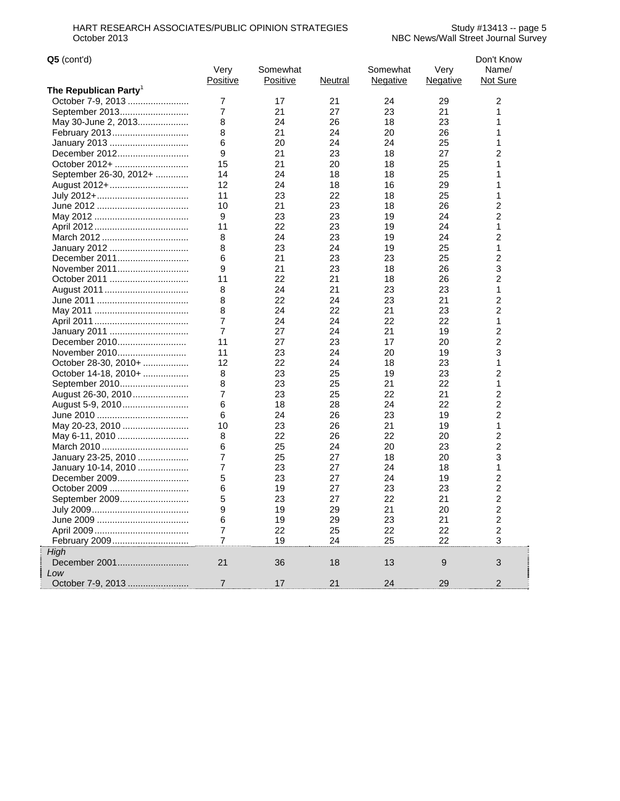.<br>Linnannannannannan

L

| $Q5$ (cont'd)                     |                  |                             |          |                             |                  | Don't Know                |
|-----------------------------------|------------------|-----------------------------|----------|-----------------------------|------------------|---------------------------|
|                                   | Very<br>Positive | Somewhat<br><b>Positive</b> | Neutral  | Somewhat<br><b>Negative</b> | Very<br>Negative | Name/<br>Not Sure         |
| The Republican Party <sup>1</sup> |                  |                             |          |                             |                  |                           |
| October 7-9, 2013                 | 7                | 17                          | 21       | 24                          | 29               | 2                         |
| September 2013                    | 7                | 21                          | 27       | 23                          | 21               | 1                         |
| May 30-June 2, 2013               | 8                | 24                          | 26       | 18                          | 23               | 1                         |
| February 2013                     | 8                | 21                          | 24       | 20                          | 26               | 1                         |
| January 2013                      | 6                | 20                          | 24       | 24                          | 25               | 1                         |
| December 2012                     | 9                | 21                          | 23       | 18                          | 27               | 2                         |
| October 2012+                     | 15               | 21                          | 20       | 18                          | 25               | 1                         |
| September 26-30, 2012+            | 14               | 24                          | 18       | 18                          | 25               | 1                         |
| August 2012+                      | 12               | 24                          | 18       | 16                          | 29               | 1                         |
|                                   | 11               | 23                          | 22       | 18                          | 25               | 1                         |
|                                   | 10               | 21                          | 23       | 18                          | 26               | 2                         |
|                                   | 9                | 23                          | 23       | 19                          | 24               | $\overline{2}$            |
|                                   | 11               | 22                          | 23       | 19                          | 24               | 1                         |
|                                   | 8                | 24                          | 23       | 19                          | 24               | $\overline{c}$            |
| January 2012                      | 8                | 23                          | 24       | 19                          | 25               | 1                         |
| December 2011                     | 6                | 21                          | 23       | 23                          | 25               | 2                         |
| November 2011                     | 9                | 21                          | 23       | 18                          | 26               | 3                         |
|                                   | 11               | 22                          | 21       | 18                          | 26               | $\overline{c}$            |
| October 2011                      |                  | 24                          | 21       | 23                          | 23               | 1                         |
|                                   | 8                |                             |          |                             |                  |                           |
|                                   | 8                | 22<br>24                    | 24<br>22 | 23<br>21                    | 21<br>23         | 2<br>2                    |
|                                   | 8<br>7           |                             |          |                             |                  | 1                         |
|                                   |                  | 24                          | 24       | 22                          | 22               |                           |
| January 2011                      | 7                | 27<br>27                    | 24       | 21                          | 19               | 2                         |
| December 2010                     | 11               |                             | 23       | 17                          | 20               | 2                         |
| November 2010                     | 11               | 23                          | 24       | 20                          | 19               | 3                         |
| October 28-30, 2010+              | 12               | 22                          | 24       | 18                          | 23               | 1                         |
| October 14-18, 2010+              | 8                | 23                          | 25       | 19                          | 23               | 2                         |
| September 2010                    | 8                | 23                          | 25       | 21                          | 22               | 1                         |
| August 26-30, 2010                | 7                | 23                          | 25       | 22                          | 21               | 2                         |
| August 5-9, 2010                  | 6                | 18                          | 28       | 24                          | 22               | 2                         |
|                                   | 6                | 24                          | 26       | 23                          | 19               | $\overline{c}$            |
| May 20-23, 2010                   | 10               | 23                          | 26       | 21                          | 19               | 1                         |
| May 6-11, 2010                    | 8                | 22                          | 26       | 22                          | 20               | $\overline{2}$            |
|                                   | 6                | 25                          | 24       | 20                          | 23               | 2                         |
| January 23-25, 2010               | 7                | 25                          | 27       | 18                          | 20               | 3                         |
| January 10-14, 2010               | 7                | 23                          | 27       | 24                          | 18               | 1                         |
| December 2009                     | 5                | 23                          | 27       | 24                          | 19               | 2                         |
| October 2009                      | 6                | 19                          | 27       | 23                          | 23               | 2                         |
| September 2009                    | 5                | 23                          | 27       | 22                          | 21               | $\overline{2}$            |
|                                   | 9                | 19                          | 29       | 21                          | 20               | $\overline{\mathbf{c}}$   |
|                                   | 6                | 19                          | 29       | 23                          | 21               | $\overline{c}$            |
|                                   | 7                | 22                          | 25       | 22                          | 22               | $\overline{c}$            |
| February 2009                     | $\overline{7}$   | 19                          | 24       | 25                          | 22               | $\ensuremath{\mathsf{3}}$ |
| High                              |                  |                             |          |                             |                  |                           |
| December 2001                     | 21               | 36                          | 18       | 13                          | $9\,$            | 3                         |
| Low                               |                  |                             |          |                             |                  |                           |
| October 7-9, 2013                 | $\overline{7}$   | 17                          | 21       | 24                          | 29               | $\mathbf{2}$              |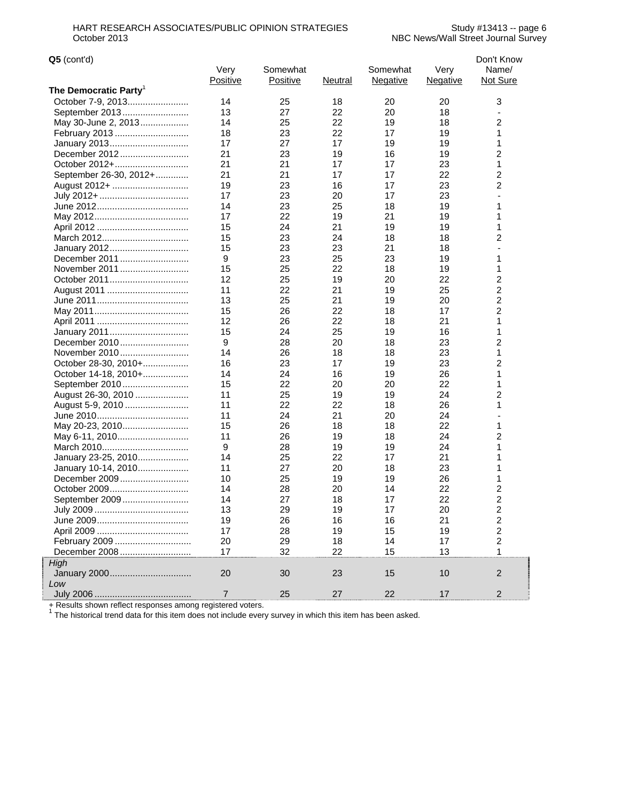| $Q5$ (cont'd)          |                |                 |         |                 |          | Don't Know              |
|------------------------|----------------|-----------------|---------|-----------------|----------|-------------------------|
|                        | Very           | Somewhat        |         | Somewhat        | Very     | Name/                   |
|                        | Positive       | <b>Positive</b> | Neutral | <b>Negative</b> | Negative | Not Sure                |
| The Democratic Partyˈ  |                |                 |         |                 |          |                         |
|                        | 14             | 25              | 18      | 20              | 20       | 3                       |
| September 2013         | 13             | 27              | 22      | 20              | 18       |                         |
| May 30-June 2, 2013    | 14             | 25              | 22      | 19              | 18       | 2                       |
|                        | 18             | 23              | 22      | 17              | 19       | 1                       |
| January 2013           | 17             | 27              | 17      | 19              | 19       | 1                       |
| December 2012          | 21             | 23              | 19      | 16              | 19       | 2                       |
| October 2012+          | 21             | 21              | 17      | 17              | 23       | 1                       |
| September 26-30, 2012+ | 21             | 21              | 17      | 17              | 22       | $\overline{c}$          |
| August 2012+           | 19             | 23              | 16      | 17              | 23       | $\overline{c}$          |
|                        | 17             | 23              | 20      | 17              | 23       |                         |
|                        | 14             | 23              | 25      | 18              | 19       | 1                       |
|                        | 17             | 22              | 19      | 21              | 19       | 1                       |
|                        | 15             | 24              | 21      | 19              | 19       | 1                       |
|                        | 15             | 23              | 24      | 18              | 18       | 2                       |
| January 2012           | 15             | 23              | 23      | 21              | 18       |                         |
| December 2011          | 9              | 23              | 25      | 23              | 19       | 1                       |
|                        | 15             | 25              | 22      | 18              | 19       | 1                       |
| October 2011           | 12             | 25              | 19      | 20              | 22       | $\overline{\mathbf{c}}$ |
|                        | 11             | 22              | 21      | 19              | 25       | $\overline{c}$          |
|                        | 13             | 25              | 21      | 19              | 20       | $\overline{c}$          |
|                        | 15             | 26              | 22      | 18              | 17       | $\overline{2}$          |
|                        | 12             | 26              | 22      | 18              | 21       | 1                       |
| January 2011           | 15             | 24              | 25      | 19              | 16       | 1                       |
| December 2010          | 9              | 28              | 20      | 18              | 23       | $\overline{c}$          |
| November 2010          | 14             | 26              | 18      | 18              | 23       | 1                       |
| October 28-30, 2010+   | 16             | 23              | 17      | 19              | 23       | 2                       |
| October 14-18, 2010+   | 14             | 24              | 16      | 19              | 26       | 1                       |
| September 2010         | 15             | 22              | 20      | 20              | 22       | 1                       |
| August 26-30, 2010     | 11             | 25              | 19      | 19              | 24       | $\overline{c}$          |
| August 5-9, 2010       | 11             | 22              | 22      | 18              | 26       | 1                       |
|                        | 11             | 24              | 21      | 20              | 24       |                         |
| May 20-23, 2010        | 15             | 26              | 18      | 18              | 22       | 1                       |
| May 6-11, 2010         | 11             | 26              | 19      | 18              | 24       | 2                       |
|                        | 9              | 28              | 19      | 19              | 24       | 1                       |
| January 23-25, 2010    | 14             | 25              | 22      | 17              | 21       | 1                       |
| January 10-14, 2010    | 11             | 27              | 20      | 18              | 23       | 1                       |
| December 2009          | 10             | 25              | 19      | 19              | 26       | 1                       |
| October 2009           | 14             | 28              | 20      | 14              | 22       | $\overline{\mathbf{c}}$ |
| September 2009         | 14             | 27              | 18      | 17              | 22       | $\overline{c}$          |
|                        | 13             | 29              | 19      | 17              | 20       | $\boldsymbol{2}$        |
|                        | 19             | 26              | 16      | 16              | 21       | $\boldsymbol{2}$        |
|                        | 17             | 28              | 19      | 15              | 19       | 2                       |
| February 2009          | 20             | 29              | 18      | 14              | 17       | $\boldsymbol{2}$        |
| December 2008          | 17             | 32              | 22      | 15              | 13       | $\mathbf{1}$            |
| High                   |                |                 |         |                 |          |                         |
|                        | 20             | 30              | 23      | 15              | 10       | $\overline{2}$          |
| Low                    |                |                 |         |                 |          |                         |
| July 2006              | $\overline{7}$ | 25              | 27      | 22              | 17       | $\overline{2}$          |
|                        |                |                 |         |                 |          |                         |

|<br>|<br>|<br>|

+ Results shown reflect responses among registered voters.<br><sup>1</sup> The historical trend data for this item does not include every survey in which this item has been asked.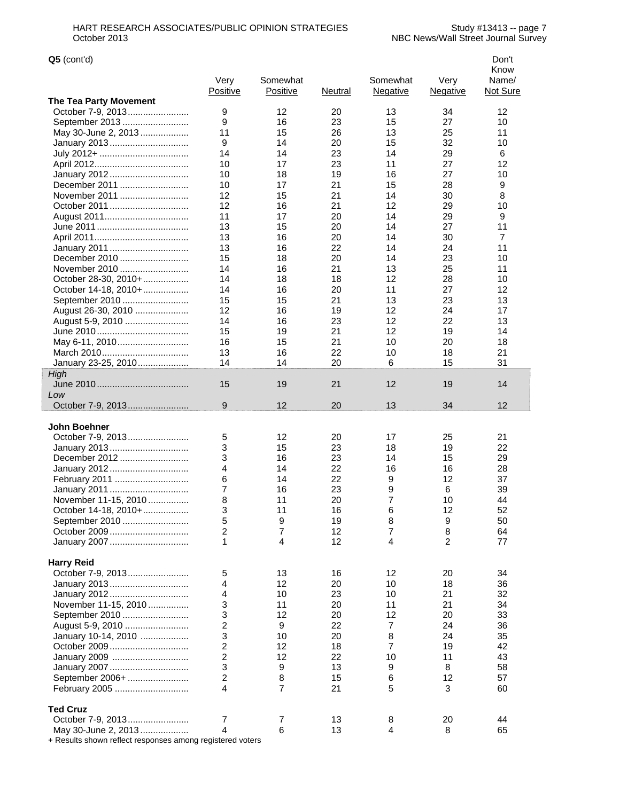| $Q5$ (cont'd)                 |                  |                      |          |                             |                         | Don't<br>Know     |
|-------------------------------|------------------|----------------------|----------|-----------------------------|-------------------------|-------------------|
|                               | Very<br>Positive | Somewhat<br>Positive | Neutral  | Somewhat<br><b>Negative</b> | Very<br><b>Negative</b> | Name/<br>Not Sure |
| The Tea Party Movement        |                  |                      |          |                             |                         |                   |
| October 7-9, 2013             | 9                | 12                   | 20       | 13                          | 34                      | 12                |
| September 2013                | 9                | 16                   | 23       | 15                          | 27                      | 10                |
| May 30-June 2, 2013           | 11               | 15                   | 26       | 13                          | 25                      | 11                |
| January 2013                  | 9                | 14                   | 20       | 15                          | 32                      | 10                |
|                               | 14               | 14                   | 23       | 14                          | 29                      | 6                 |
|                               | 10               | 17                   | 23       | 11                          | 27                      | 12                |
| January 2012                  | 10               | 18                   | 19       | 16                          | 27                      | 10                |
| December 2011                 | 10               | 17                   | 21       | 15                          | 28                      | 9                 |
| November 2011                 | 12               | 15                   | 21       | 14                          | 30                      | 8                 |
| October 2011                  | 12               | 16                   | 21       | 12                          | 29                      | 10                |
|                               | 11               | 17                   | 20       | 14                          | 29                      | 9                 |
|                               | 13               | 15                   | 20       | 14                          | 27                      | 11                |
|                               | 13               | 16                   | 20       | 14                          | 30                      | $\overline{7}$    |
| January 2011<br>December 2010 | 13<br>15         | 16<br>18             | 22<br>20 | 14<br>14                    | 24<br>23                | 11<br>10          |
| November 2010                 | 14               | 16                   | 21       | 13                          | 25                      | 11                |
| October 28-30, 2010+          | 14               | 18                   | 18       | 12                          | 28                      | 10                |
| October 14-18, 2010+          | 14               | 16                   | 20       | 11                          | 27                      | 12                |
| September 2010                | 15               | 15                   | 21       | 13                          | 23                      | 13                |
| August 26-30, 2010            | 12               | 16                   | 19       | 12                          | 24                      | 17                |
| August 5-9, 2010              | 14               | 16                   | 23       | 12                          | 22                      | 13                |
|                               | 15               | 19                   | 21       | 12                          | 19                      | 14                |
| May 6-11, 2010                | 16               | 15                   | 21       | 10                          | 20                      | 18                |
|                               | 13               | 16                   | 22       | 10                          | 18                      | 21                |
| January 23-25, 2010           | 14               | 14                   | 20       | 6                           | 15                      | 31                |
| High                          |                  |                      |          |                             |                         |                   |
|                               | 15               | 19                   | 21       | 12                          | 19                      | 14                |
| Low                           |                  |                      |          |                             |                         |                   |
| October 7-9, 2013             | 9                | 12                   | 20       | 13                          | 34                      | 12                |
| John Boehner                  |                  |                      |          |                             |                         |                   |
| October 7-9, 2013             | 5                | 12                   | 20       | 17                          | 25                      | 21                |
| January 2013                  | 3                | 15                   | 23       | 18                          | 19                      | 22                |
| December 2012                 | 3                | 16                   | 23       | 14                          | 15                      | 29                |
| January 2012                  | 4                | 14                   | 22       | 16                          | 16                      | 28                |
| February 2011                 | 6                | 14                   | 22       | 9                           | 12                      | 37                |
| January 2011                  | 7                | 16                   | 23       | 9                           | 6                       | 39                |
| November 11-15, 2010          | 8                | 11                   | 20       | $\overline{7}$              | 10                      | 44                |
| October 14-18, 2010+          | 3                | 11                   | 16       | 6                           | 12                      | 52                |
| September 2010                | 5                | 9                    | 19       | 8                           | 9                       | 50                |
| October 2009                  | $\overline{c}$   | 7                    | 12       | 7                           | 8                       | 64                |
| January 2007                  | 1                | 4                    | 12       | $\overline{4}$              | $\overline{2}$          | 77                |
| <b>Harry Reid</b>             |                  |                      |          |                             |                         |                   |
| October 7-9, 2013             | 5                | 13                   | 16       | 12                          | 20                      | 34                |
| January 2013                  | 4                | 12                   | 20       | 10                          | 18                      | 36                |
| January 2012                  | 4                | 10                   | 23       | 10                          | 21                      | 32                |
| November 11-15, 2010          | 3                | 11                   | 20       | 11                          | 21                      | 34                |
| September 2010                | 3                | 12                   | 20       | 12                          | 20                      | 33                |
| August 5-9, 2010              | $\overline{c}$   | 9                    | 22       | $\overline{7}$              | 24                      | 36                |
| January 10-14, 2010           | 3                | 10                   | 20       | 8                           | 24                      | 35                |
| October 2009                  | $\overline{c}$   | 12                   | 18       | 7                           | 19                      | 42                |
| January 2009                  | $\overline{c}$   | 12                   | 22       | 10                          | 11                      | 43                |
| January 2007                  | 3                | 9                    | 13       | 9                           | 8                       | 58                |
| September 2006+               | $\overline{c}$   | 8                    | 15       | 6                           | 12                      | 57                |
| February 2005                 | 4                | $\overline{7}$       | 21       | 5                           | 3                       | 60                |
| <b>Ted Cruz</b>               |                  |                      |          |                             |                         |                   |
| October 7-9, 2013             | 7                | 7                    | 13       | 8                           | 20                      | 44                |
| May 30-June 2, 2013           | 4                | 6                    | 13       | $\overline{4}$              | 8                       | 65                |

+ Results shown reflect responses among registered voters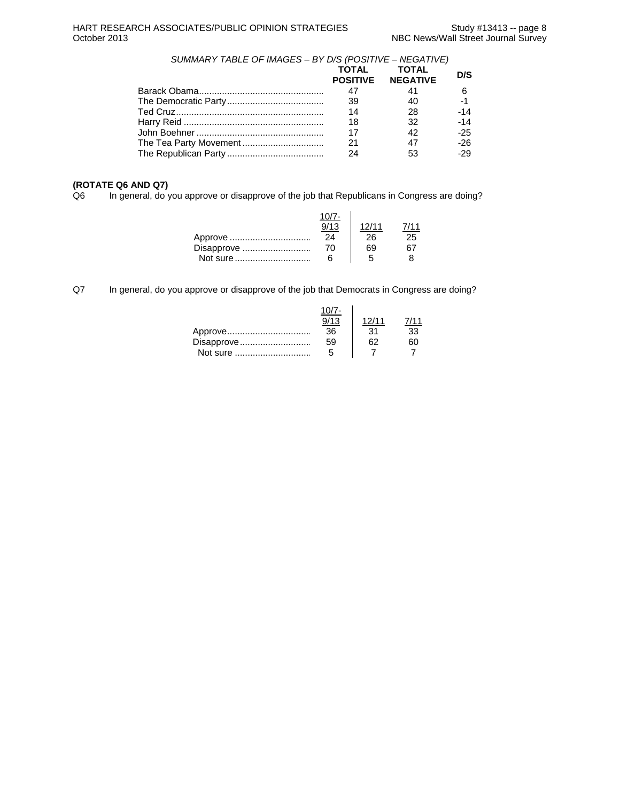*SUMMARY TABLE OF IMAGES – BY D/S (POSITIVE – NEGATIVE)* 

|    | <b>TOTAL</b> | D/S                                      |
|----|--------------|------------------------------------------|
| 47 | 41           | 6                                        |
| 39 | 40           | $-1$                                     |
| 14 | 28           | $-14$                                    |
| 18 | 32           | $-14$                                    |
| 17 | 42           | $-25$                                    |
| 21 | 47           | $-26$                                    |
| 24 | 53           | $-29$                                    |
|    |              | <b>TOTAL</b><br><b>POSITIVE NEGATIVE</b> |

# **(ROTATE Q6 AND Q7)**

In general, do you approve or disapprove of the job that Republicans in Congress are doing?

| Disapprove | $10/7 -$<br>24<br>70 | 12/11<br>26<br>69 | 25 |
|------------|----------------------|-------------------|----|
|            | 6                    |                   |    |

Q7 In general, do you approve or disapprove of the job that Democrats in Congress are doing?

| Approve    | 36 | 31 | 'ર? |
|------------|----|----|-----|
| Disapprove | 59 |    |     |
| Not sure   | ٠h |    |     |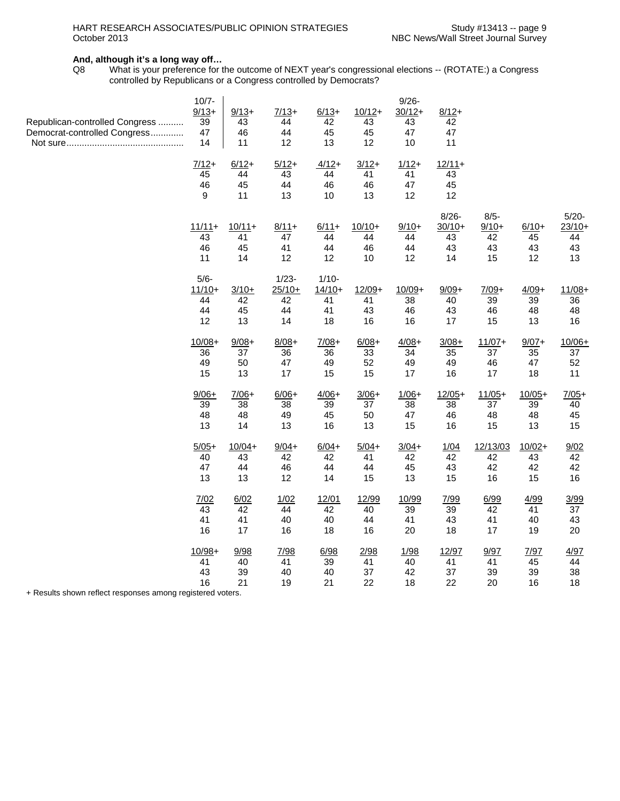### **And, although it's a long way off…**

Q8 What is your preference for the outcome of NEXT year's congressional elections -- (ROTATE:) a Congress controlled by Republicans or a Congress controlled by Democrats?

|                                | $10/7 -$       |          |               |          |          | $9/26 -$ |                      |               |                   |                      |
|--------------------------------|----------------|----------|---------------|----------|----------|----------|----------------------|---------------|-------------------|----------------------|
|                                | $9/13+$        | $9/13+$  | $7/13+$       | $6/13+$  | $10/12+$ | $30/12+$ | $8/12+$              |               |                   |                      |
| Republican-controlled Congress | 39             | 43       | 44            | 42       | 43       | 43       | 42                   |               |                   |                      |
| Democrat-controlled Congress   | 47<br>14       | 46<br>11 | 44<br>12      | 45<br>13 | 45<br>12 | 47<br>10 | 47<br>11             |               |                   |                      |
|                                |                |          |               |          |          |          |                      |               |                   |                      |
|                                | $7/12+$        | $6/12+$  | $5/12+$       | $4/12+$  | $3/12+$  | $1/12+$  | $12/11+$             |               |                   |                      |
|                                | 45             | 44       | 43            | 44       | 41       | 41       | 43                   |               |                   |                      |
|                                | 46             | 45       | 44            | 46       | 46       | 47       | 45                   |               |                   |                      |
|                                | 9              | 11       | 13            | 10       | 13       | 12       | 12                   |               |                   |                      |
|                                |                |          |               |          |          |          |                      |               |                   |                      |
|                                |                | $10/11+$ |               | $6/11+$  | $10/10+$ | $9/10+$  | $8/26 -$<br>$30/10+$ | $8/5 -$       |                   | $5/20 -$<br>$23/10+$ |
|                                | $11/11+$<br>43 | 41       | $8/11+$<br>47 | 44       | 44       | 44       | 43                   | $9/10+$<br>42 | $6/10+$<br>45     | 44                   |
|                                | 46             | 45       | 41            | 44       | 46       | 44       | 43                   | 43            | 43                | 43                   |
|                                | 11             | 14       | 12            | 12       | 10       | 12       | 14                   | 15            | $12 \overline{ }$ | 13                   |
|                                |                |          |               |          |          |          |                      |               |                   |                      |
|                                | $5/6 -$        |          | $1/23 -$      | $1/10-$  |          |          |                      |               |                   |                      |
|                                | $11/10+$       | $3/10+$  | $25/10+$      | $14/10+$ | $12/09+$ | $10/09+$ | $9/09+$              | $7/09+$       | $4/09+$           | $11/08 +$            |
|                                | 44             | 42       | 42            | 41       | 41       | 38       | 40                   | 39            | 39                | 36                   |
|                                | 44             | 45       | 44            | 41       | 43       | 46       | 43                   | 46            | 48                | 48                   |
|                                | 12             | 13       | 14            | 18       | 16       | 16       | 17                   | 15            | 13                | 16                   |
|                                | $10/08 +$      | $9/08 +$ | $8/08 +$      | $7/08+$  | $6/08 +$ | $4/08 +$ | $3/08+$              | $11/07+$      | $9/07 +$          | $10/06+$             |
|                                | 36             | 37       | 36            | 36       | 33       | 34       | 35                   | 37            | 35                | 37                   |
|                                | 49             | 50       | 47            | 49       | 52       | 49       | 49                   | 46            | 47                | 52                   |
|                                | 15             | 13       | 17            | 15       | 15       | 17       | 16                   | 17            | 18                | 11                   |
|                                |                |          |               |          |          |          |                      |               |                   |                      |
|                                | $9/06+$        | $7/06+$  | $6/06+$       | $4/06+$  | $3/06+$  | $1/06+$  | $12/05+$             | $11/05+$      | $10/05+$          | $7/05+$              |
|                                | 39<br>48       | 38<br>48 | 38<br>49      | 39       | 37<br>50 | 38       | 38                   | 37            | 39                | 40                   |
|                                | 13             | 14       | 13            | 45<br>16 | 13       | 47<br>15 | 46<br>16             | 48<br>15      | 48<br>13          | 45<br>15             |
|                                |                |          |               |          |          |          |                      |               |                   |                      |
|                                | $5/05+$        | $10/04+$ | $9/04+$       | $6/04+$  | $5/04+$  | $3/04+$  | 1/04                 | 12/13/03      | $10/02 +$         | 9/02                 |
|                                | 40             | 43       | 42            | 42       | 41       | 42       | 42                   | 42            | 43                | 42                   |
|                                | 47             | 44       | 46            | 44       | 44       | 45       | 43                   | 42            | 42                | 42                   |
|                                | 13             | 13       | 12            | 14       | 15       | 13       | 15                   | 16            | 15                | 16                   |
|                                | 7/02           | 6/02     | 1/02          | 12/01    | 12/99    | 10/99    | 7/99                 | 6/99          | 4/99              | 3/99                 |
|                                | 43             | 42       | 44            | 42       | 40       | 39       | 39                   | 42            | 41                | 37                   |
|                                | 41             | 41       | 40            | 40       | 44       | 41       | 43                   | 41            | 40                | 43                   |
|                                | 16             | 17       | 16            | 18       | 16       | 20       | 18                   | 17            | 19                | 20                   |
|                                |                |          |               |          |          |          |                      |               |                   |                      |
|                                | $10/98 +$      | 9/98     | 7/98          | 6/98     | 2/98     | 1/98     | 12/97                | 9/97          | 7/97              | 4/97                 |
|                                | 41             | 40       | 41            | 39       | 41       | 40       | 41                   | 41            | 45                | 44                   |
|                                | 43             | 39       | 40            | 40       | 37       | 42       | 37                   | 39            | 39                | 38                   |
| Description of the local       | 16             | 21       | 19            | 21       | 22       | 18       | 22                   | 20            | 16                | 18                   |

+ Results shown reflect responses among registered voters.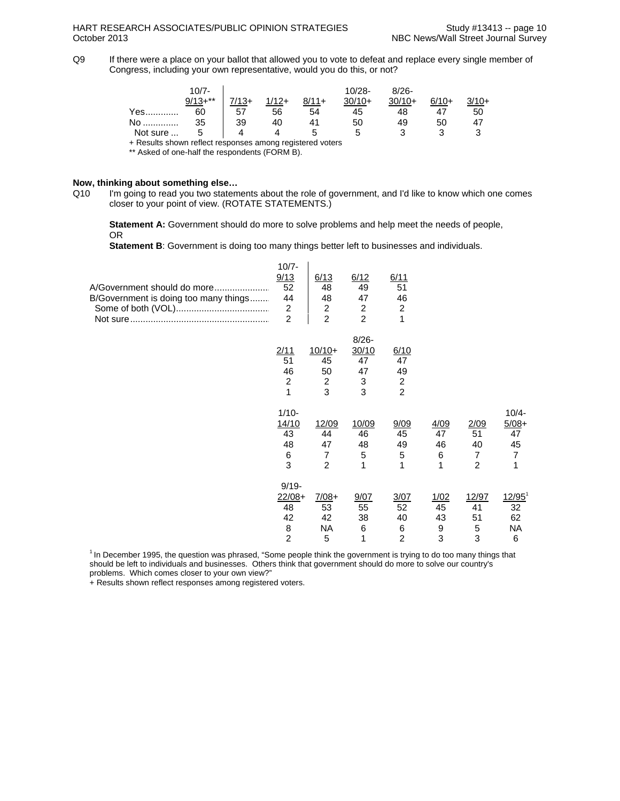Q9If there were a place on your ballot that allowed you to vote to defeat and replace every single member of Congress, including your own representative, would you do this, or not?

|                                                           | $10/7 -$  |         |         |         | $10/28 -$ | $8/26 -$ |         |         |
|-----------------------------------------------------------|-----------|---------|---------|---------|-----------|----------|---------|---------|
|                                                           | $9/13+**$ | $7/13+$ | $1/12+$ | $8/11+$ | $30/10+$  | $30/10+$ | $6/10+$ | $3/10+$ |
| Yes                                                       | 60        | 57      | 56      | 54      | 45        | 48       | 47      | 50      |
| No                                                        | 35        | 39      | 40      |         | 50        | 49       | 50      | 47      |
| Not sure                                                  | г,        |         |         |         |           | ว        |         |         |
| + Results shown reflect responses among registered voters |           |         |         |         |           |          |         |         |

\*\* Asked of one-half the respondents (FORM B).

### **Now, thinking about something else…**

Q10 I'm going to read you two statements about the role of government, and I'd like to know which one comes closer to your point of view. (ROTATE STATEMENTS.)

**Statement A:** Government should do more to solve problems and help meet the needs of people, OR

**Statement B**: Government is doing too many things better left to businesses and individuals.

| A/Government should do more<br>B/Government is doing too many things | $10/7 -$<br>9/13<br>52<br>44<br>$\boldsymbol{2}$<br>$\overline{2}$ | 6/13<br>48<br>48<br>$\overline{c}$<br>$\overline{2}$  | 6/12<br>49<br>47<br>$\overline{c}$<br>$\overline{2}$ | 6/11<br>51<br>46<br>$\overline{c}$<br>1              |                            |                                                      |                                                        |
|----------------------------------------------------------------------|--------------------------------------------------------------------|-------------------------------------------------------|------------------------------------------------------|------------------------------------------------------|----------------------------|------------------------------------------------------|--------------------------------------------------------|
|                                                                      | 2/11<br>51<br>46<br>$\overline{c}$<br>1                            | $10/10+$<br>45<br>50<br>2<br>3                        | $8/26 -$<br>30/10<br>47<br>47<br>3<br>3              | 6/10<br>47<br>49<br>$\overline{c}$<br>$\overline{2}$ |                            |                                                      |                                                        |
|                                                                      | $1/10-$<br>14/10<br>43<br>48<br>6<br>3                             | 12/09<br>44<br>47<br>$\overline{7}$<br>$\overline{2}$ | 10/09<br>46<br>48<br>5<br>1                          | 9/09<br>45<br>49<br>5<br>1                           | 4/09<br>47<br>46<br>6<br>1 | 2/09<br>51<br>40<br>$\overline{7}$<br>$\overline{c}$ | $10/4 -$<br>$5/08+$<br>47<br>45<br>$\overline{7}$<br>1 |
|                                                                      | $9/19 -$<br>$22/08+$<br>48<br>42<br>8<br>$\overline{2}$            | $7/08+$<br>53<br>42<br><b>NA</b><br>5                 | 9/07<br>55<br>38<br>6<br>1                           | 3/07<br>52<br>40<br>6<br>$\overline{2}$              | 1/02<br>45<br>43<br>9<br>3 | 12/97<br>41<br>51<br>5<br>3                          | $12/95^1$<br>32<br>62<br>NA<br>6                       |

<sup>1</sup> In December 1995, the question was phrased, "Some people think the government is trying to do too many things that should be left to individuals and businesses. Others think that government should do more to solve our country's problems. Which comes closer to your own view?"

+ Results shown reflect responses among registered voters.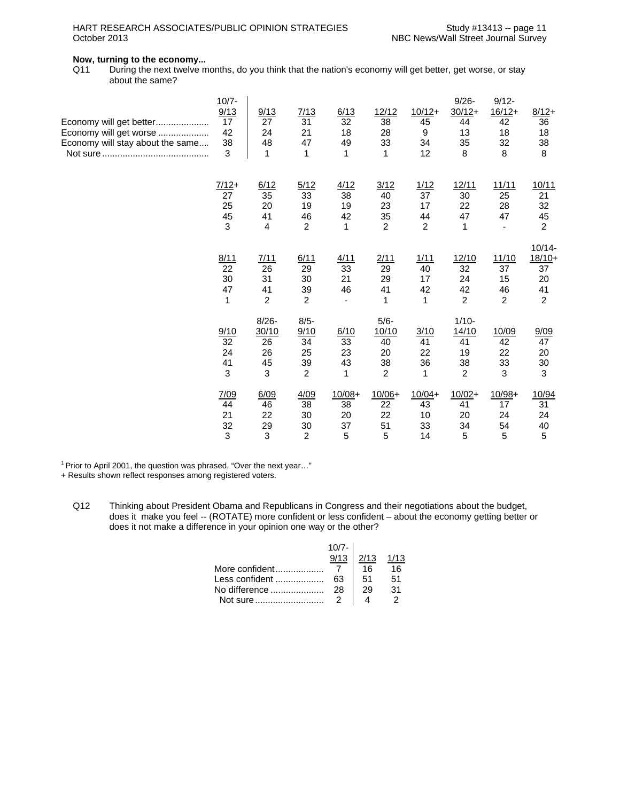# HART RESEARCH ASSOCIATES/PUBLIC OPINION STRATEGIES Study #13413 -- page 11<br>NBC News/Wall Street Journal Survey

## **Now, turning to the economy...**

Q11 During the next twelve months, do you think that the nation's economy will get better, get worse, or stay about the same?

| Economy will get better<br>Economy will get worse<br>Economy will stay about the same | $10/7 -$<br>9/13<br>17<br>42<br>38<br>3 | 9/13<br>27<br>24<br>48<br>1              | 7/13<br>31<br>21<br>47<br>1                         | 6/13<br>32<br>18<br>49<br>1      | 12/12<br>38<br>28<br>33<br>1                         | $10/12+$<br>45<br>9<br>34<br>12                       | $9/26 -$<br>$30/12+$<br>44<br>13<br>35<br>8          | $9/12 -$<br>$16/12+$<br>42<br>18<br>32<br>8         | $8/12+$<br>36<br>18<br>38<br>8                            |
|---------------------------------------------------------------------------------------|-----------------------------------------|------------------------------------------|-----------------------------------------------------|----------------------------------|------------------------------------------------------|-------------------------------------------------------|------------------------------------------------------|-----------------------------------------------------|-----------------------------------------------------------|
|                                                                                       | $7/12+$<br>27<br>25<br>45<br>3          | 6/12<br>35<br>20<br>41<br>4              | 5/12<br>33<br>19<br>46<br>$\overline{2}$            | 4/12<br>38<br>19<br>42<br>1      | 3/12<br>40<br>23<br>35<br>$\overline{2}$             | 1/12<br>$\overline{37}$<br>17<br>44<br>$\overline{c}$ | 12/11<br>30<br>22<br>47<br>1                         | 11/11<br>25<br>28<br>47<br>$\overline{\phantom{0}}$ | 10/11<br>21<br>32<br>45<br>$\overline{c}$                 |
|                                                                                       | 8/11<br>22<br>30<br>47<br>1             | 7/11<br>26<br>31<br>41<br>$\overline{2}$ | 6/11<br>29<br>30<br>39<br>$\overline{2}$            | 4/11<br>33<br>21<br>46           | 2/11<br>29<br>29<br>41<br>1                          | 1/11<br>40<br>17<br>42<br>1                           | 12/10<br>32<br>24<br>42<br>$\overline{2}$            | 11/10<br>37<br>15<br>46<br>$\overline{2}$           | $10/14 -$<br>$18/10+$<br>37<br>20<br>41<br>$\overline{c}$ |
|                                                                                       | 9/10<br>32<br>24<br>41<br>3             | $8/26 -$<br>30/10<br>26<br>26<br>45<br>3 | $8/5 -$<br>9/10<br>34<br>25<br>39<br>$\overline{2}$ | 6/10<br>33<br>23<br>43<br>1      | $5/6 -$<br>10/10<br>40<br>20<br>38<br>$\overline{2}$ | 3/10<br>41<br>22<br>36<br>1                           | $1/10-$<br>14/10<br>41<br>19<br>38<br>$\overline{c}$ | 10/09<br>42<br>22<br>33<br>3                        | 9/09<br>47<br>20<br>30<br>$\mathsf 3$                     |
|                                                                                       | 7/09<br>44<br>21<br>32<br>3             | 6/09<br>46<br>22<br>29<br>3              | 4/09<br>38<br>30<br>30<br>$\overline{2}$            | $10/08 +$<br>38<br>20<br>37<br>5 | $10/06 +$<br>22<br>22<br>51<br>5                     | $10/04 +$<br>43<br>10<br>33<br>14                     | $10/02 +$<br>41<br>20<br>34<br>5                     | $10/98 +$<br>17<br>24<br>54<br>5                    | 10/94<br>31<br>24<br>40<br>5                              |

 $1$  Prior to April 2001, the question was phrased, "Over the next year..."

+ Results shown reflect responses among registered voters.

Q12 Thinking about President Obama and Republicans in Congress and their negotiations about the budget, does it make you feel -- (ROTATE) more confident or less confident – about the economy getting better or does it not make a difference in your opinion one way or the other?

|                | $10/7 -$           |      |      |
|----------------|--------------------|------|------|
|                | $\frac{10}{9}{13}$ | 2/13 | 1/13 |
| More confident |                    | 16   | 16   |
| Less confident | 63                 | 51   | 51   |
| No difference  | 28                 | 29   | 31   |
| Not sure       |                    |      |      |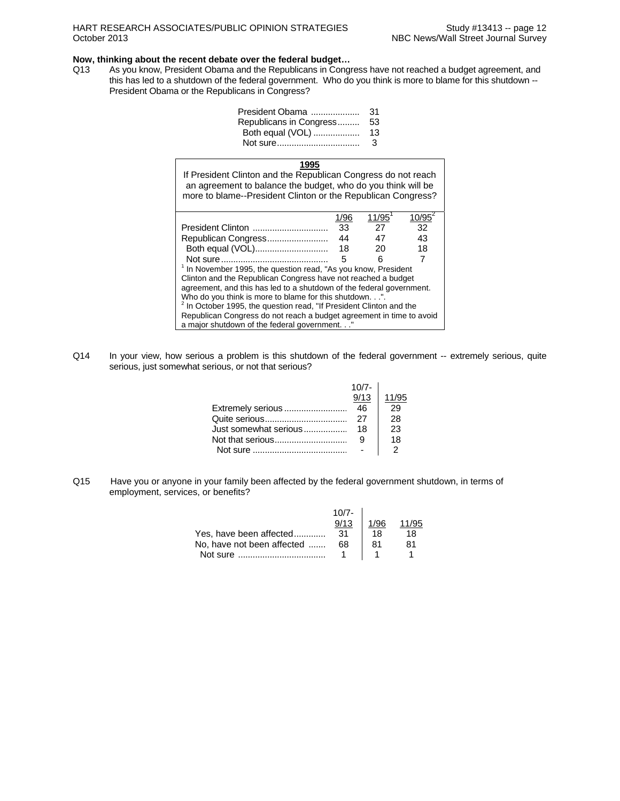### **Now, thinking about the recent debate over the federal budget…**

Q13 As you know, President Obama and the Republicans in Congress have not reached a budget agreement, and this has led to a shutdown of the federal government. Who do you think is more to blame for this shutdown --President Obama or the Republicans in Congress?

| 31 |
|----|
| 53 |
| 13 |
| 3  |
|    |

### **1995**

If President Clinton and the Republican Congress do not reach an agreement to balance the budget, who do you think will be more to blame--President Clinton or the Republican Congress?

|                                                                                | 1/96 | 11/95 |    |  |  |
|--------------------------------------------------------------------------------|------|-------|----|--|--|
| President Clinton                                                              | 33   | 27    | 32 |  |  |
| Republican Congress                                                            | 44   | 47    | 43 |  |  |
| Both equal (VOL)                                                               | 18   | 20    | 18 |  |  |
|                                                                                | 5    |       |    |  |  |
| <sup>1</sup> In November 1995, the question read, "As you know, President      |      |       |    |  |  |
| Clinton and the Republican Congress have not reached a budget                  |      |       |    |  |  |
| agreement, and this has led to a shutdown of the federal government.           |      |       |    |  |  |
| Who do you think is more to blame for this shutdown.".                         |      |       |    |  |  |
| <sup>2</sup> In October 1995, the question read, "If President Clinton and the |      |       |    |  |  |
| Republican Congress do not reach a budget agreement in time to avoid           |      |       |    |  |  |
| a major shutdown of the federal government.'                                   |      |       |    |  |  |

Q14 In your view, how serious a problem is this shutdown of the federal government -- extremely serious, quite serious, just somewhat serious, or not that serious?

|                       | $10/7 -$          |       |
|-----------------------|-------------------|-------|
|                       | $\frac{57}{9/13}$ | 11/95 |
| Extremely serious     | 46                | 29    |
|                       | 27                | 28    |
| Just somewhat serious | 18                | 23    |
|                       |                   | 18    |
|                       |                   |       |

Q15 Have you or anyone in your family been affected by the federal government shutdown, in terms of employment, services, or benefits?

|                            | $10/7 -$<br>9/13 | 1/96 |    |
|----------------------------|------------------|------|----|
| Yes, have been affected    | 31               | 18   | 18 |
| No, have not been affected | 68               | 81   | 81 |
| Not sure                   |                  |      |    |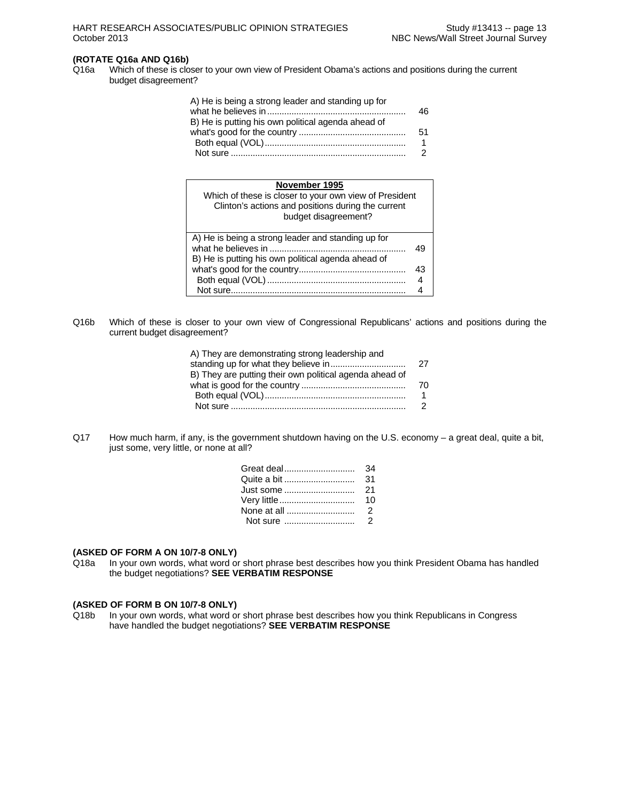## **(ROTATE Q16a AND Q16b)**

Q16a Which of these is closer to your own view of President Obama's actions and positions during the current budget disagreement?

| A) He is being a strong leader and standing up for |     |
|----------------------------------------------------|-----|
| B) He is putting his own political agenda ahead of |     |
|                                                    | .51 |
|                                                    | 1   |
|                                                    |     |

### **November 1995**

| .<br>Which of these is closer to your own view of President<br>Clinton's actions and positions during the current<br>budget disagreement? |    |
|-------------------------------------------------------------------------------------------------------------------------------------------|----|
| A) He is being a strong leader and standing up for<br>B) He is putting his own political agenda ahead of                                  | 49 |
|                                                                                                                                           | 43 |
|                                                                                                                                           | 4  |
|                                                                                                                                           |    |

Q16b Which of these is closer to your own view of Congressional Republicans' actions and positions during the current budget disagreement?

| A) They are demonstrating strong leadership and         |     |
|---------------------------------------------------------|-----|
|                                                         | -27 |
| B) They are putting their own political agenda ahead of |     |
|                                                         | 70  |
|                                                         |     |
|                                                         |     |

Q17 How much harm, if any, is the government shutdown having on the U.S. economy – a great deal, quite a bit, just some, very little, or none at all?

| Quite a bit       | -31 |
|-------------------|-----|
| Just some      21 |     |
| Very little       | 10  |
|                   |     |
|                   |     |

### **(ASKED OF FORM A ON 10/7-8 ONLY)**

Q18a In your own words, what word or short phrase best describes how you think President Obama has handled the budget negotiations? **SEE VERBATIM RESPONSE** 

## **(ASKED OF FORM B ON 10/7-8 ONLY)**

In your own words, what word or short phrase best describes how you think Republicans in Congress have handled the budget negotiations? **SEE VERBATIM RESPONSE**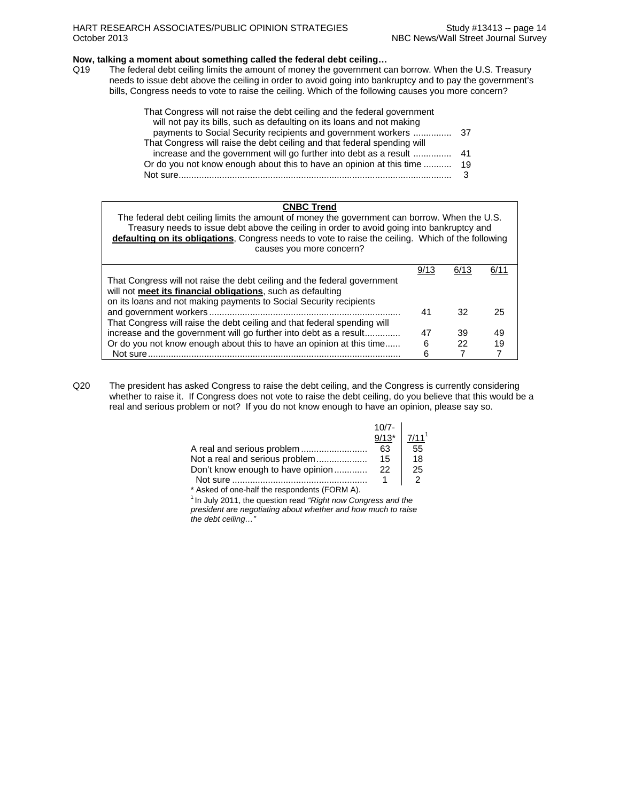### **Now, talking a moment about something called the federal debt ceiling…**

Q19 The federal debt ceiling limits the amount of money the government can borrow. When the U.S. Treasury needs to issue debt above the ceiling in order to avoid going into bankruptcy and to pay the government's bills, Congress needs to vote to raise the ceiling. Which of the following causes you more concern?

| That Congress will not raise the debt ceiling and the federal government |    |
|--------------------------------------------------------------------------|----|
| will not pay its bills, such as defaulting on its loans and not making   |    |
|                                                                          |    |
| That Congress will raise the debt ceiling and that federal spending will |    |
|                                                                          |    |
| Or do you not know enough about this to have an opinion at this time     | 19 |
| Not sure                                                                 |    |

| <b>CNBC Trend</b>                                                                                  |      |      |      |  |  |  |  |  |
|----------------------------------------------------------------------------------------------------|------|------|------|--|--|--|--|--|
| The federal debt ceiling limits the amount of money the government can borrow. When the U.S.       |      |      |      |  |  |  |  |  |
| Treasury needs to issue debt above the ceiling in order to avoid going into bankruptcy and         |      |      |      |  |  |  |  |  |
| defaulting on its obligations, Congress needs to vote to raise the ceiling. Which of the following |      |      |      |  |  |  |  |  |
| causes you more concern?                                                                           |      |      |      |  |  |  |  |  |
|                                                                                                    |      |      |      |  |  |  |  |  |
|                                                                                                    | 9/13 | 6/13 | 6/11 |  |  |  |  |  |
| That Congress will not raise the debt ceiling and the federal government                           |      |      |      |  |  |  |  |  |
| will not meet its financial obligations, such as defaulting                                        |      |      |      |  |  |  |  |  |
| on its loans and not making payments to Social Security recipients                                 |      |      |      |  |  |  |  |  |
|                                                                                                    | 41   | 32   | 25   |  |  |  |  |  |
| That Congress will raise the debt ceiling and that federal spending will                           |      |      |      |  |  |  |  |  |
| increase and the government will go further into debt as a result                                  | 47   | 39   | 49   |  |  |  |  |  |
| Or do you not know enough about this to have an opinion at this time                               | 6    | 22   | 19   |  |  |  |  |  |
| Not sure.                                                                                          | 6    |      |      |  |  |  |  |  |

Q20 The president has asked Congress to raise the debt ceiling, and the Congress is currently considering whether to raise it. If Congress does not vote to raise the debt ceiling, do you believe that this would be a real and serious problem or not? If you do not know enough to have an opinion, please say so.

|                                   | $10/7 -$ |                   |
|-----------------------------------|----------|-------------------|
|                                   | $9/13*$  | 7/11 <sup>1</sup> |
|                                   | 63       | 55                |
| Not a real and serious problem    | 15       | 18                |
| Don't know enough to have opinion | 22       | 25                |
| Not sure                          |          |                   |

\* Asked of one-half the respondents (FORM A). 1 In July 2011, the question read *"Right now Congress and the president are negotiating about whether and how much to raise the debt ceiling…"*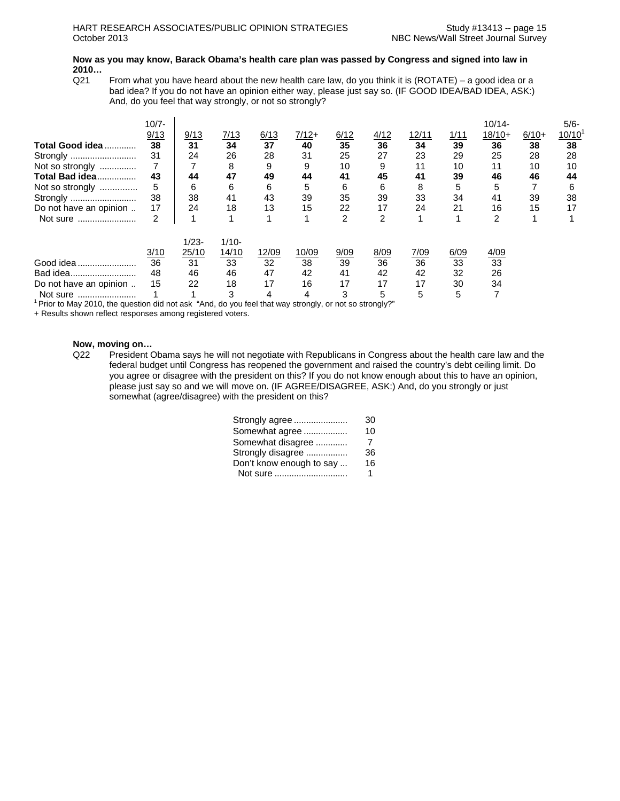### **Now as you may know, Barack Obama's health care plan was passed by Congress and signed into law in 2010…**

 $Q21$  From what you have heard about the new health care law, do you think it is (ROTATE) – a good idea or a bad idea? If you do not have an opinion either way, please just say so. (IF GOOD IDEA/BAD IDEA, ASK:) And, do you feel that way strongly, or not so strongly?

| Total Good idea<br>Strongly<br>Not so strongly<br><b>Total Bad idea</b><br>Not so strongly<br>Strongly | $10/7 -$<br>9/13<br>38<br>31<br>43<br>5<br>38 | 9/13<br>31<br>24<br>44<br>6<br>38 | 7/13<br>34<br>26<br>8<br>47<br>6<br>41 | 6/13<br>37<br>28<br>9<br>49<br>6<br>43 | 7/12+<br>40<br>31<br>9<br>44<br>5<br>39 | 6/12<br>35<br>25<br>10<br>41<br>6<br>35 | 4/12<br>36<br>27<br>9<br>45<br>6<br>39 | 12/11<br>34<br>23<br>11<br>41<br>8<br>33 | 1/11<br>39<br>29<br>10<br>39<br>5<br>34 | $10/14 -$<br>$18/10+$<br>36<br>25<br>11<br>46<br>5<br>41 | $6/10+$<br>38<br>28<br>10<br>46<br>39 | 5/6-<br>10/10<br>38<br>28<br>10<br>44<br>6<br>38 |
|--------------------------------------------------------------------------------------------------------|-----------------------------------------------|-----------------------------------|----------------------------------------|----------------------------------------|-----------------------------------------|-----------------------------------------|----------------------------------------|------------------------------------------|-----------------------------------------|----------------------------------------------------------|---------------------------------------|--------------------------------------------------|
| Do not have an opinion                                                                                 | 17                                            | 24                                | 18                                     | 13                                     | 15                                      | 22                                      | 17                                     | 24                                       | 21                                      | 16                                                       | 15                                    | 17                                               |
| Not sure                                                                                               | 2<br>3/10                                     | $1/23 -$<br>25/10                 | $1/10 -$<br>14/10                      | 12/09                                  | 10/09                                   | 2<br>9/09                               | 2<br>8/09                              | 7/09                                     | 6/09                                    | 2<br>4/09                                                |                                       |                                                  |
| Good idea                                                                                              | 36                                            | 31                                | 33                                     | 32                                     | 38                                      | 39                                      | 36                                     | 36                                       | 33                                      | 33                                                       |                                       |                                                  |
| Bad idea                                                                                               | 48                                            | 46                                | 46                                     | 47                                     | 42                                      | 41                                      | 42                                     | 42                                       | 32                                      | 26                                                       |                                       |                                                  |
| Do not have an opinion                                                                                 | 15                                            | 22                                | 18                                     | 17                                     | 16                                      | 17                                      | 17                                     | 17                                       | 30                                      | 34                                                       |                                       |                                                  |
| Not sure                                                                                               |                                               |                                   | 3                                      | 4                                      | 4                                       | 3                                       | 5                                      | 5                                        | 5                                       |                                                          |                                       |                                                  |

 $1$  Prior to May 2010, the question did not ask "And, do you feel that way strongly, or not so strongly?"

+ Results shown reflect responses among registered voters.

#### **Now, moving on…**

Q22 President Obama says he will not negotiate with Republicans in Congress about the health care law and the federal budget until Congress has reopened the government and raised the country's debt ceiling limit. Do you agree or disagree with the president on this? If you do not know enough about this to have an opinion, please just say so and we will move on. (IF AGREE/DISAGREE, ASK:) And, do you strongly or just somewhat (agree/disagree) with the president on this?

| Strongly agree           | 30 |
|--------------------------|----|
| Somewhat agree           | 10 |
| Somewhat disagree        | 7  |
| Strongly disagree        | 36 |
| Don't know enough to say | 16 |
| Not sure                 | 1  |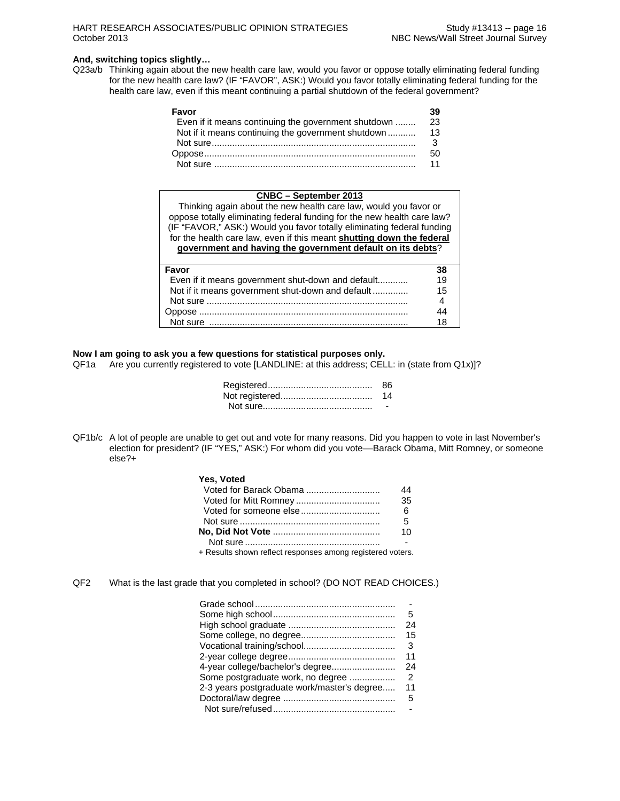### **And, switching topics slightly…**

Q23a/b Thinking again about the new health care law, would you favor or oppose totally eliminating federal funding for the new health care law? (IF "FAVOR", ASK:) Would you favor totally eliminating federal funding for the health care law, even if this meant continuing a partial shutdown of the federal government?

| Favor                                               |    |
|-----------------------------------------------------|----|
| Even if it means continuing the government shutdown | 23 |
| Not if it means continuing the government shutdown  | 13 |
|                                                     | 3  |
|                                                     | 50 |
|                                                     | 11 |

### **CNBC – September 2013** Thinking again about the new health care law, would you favor or oppose totally eliminating federal funding for the new health care law? (IF "FAVOR," ASK:) Would you favor totally eliminating federal funding for the health care law, even if this meant **shutting down the federal government and having the government default on its debts**? **Favor 38**  Even if it means government shut-down and default............ 19 Not if it means government shut-down and default .............. 15 Not sure ............................................................................... 4 Oppose .................................................................................. 44 Not sure .............................................................................. 18

### **Now I am going to ask you a few questions for statistical purposes only.**

QF1a Are you currently registered to vote [LANDLINE: at this address; CELL: in (state from Q1x)]?

| 86. |
|-----|
|     |
|     |

QF1b/c A lot of people are unable to get out and vote for many reasons. Did you happen to vote in last November's election for president? (IF "YES," ASK:) For whom did you vote-Barack Obama, Mitt Romney, or someone else?+

### **Yes, Voted**

| Voted for Barack Obama                                     | 44 |
|------------------------------------------------------------|----|
|                                                            | 35 |
|                                                            | 6  |
|                                                            | 5  |
|                                                            | 10 |
|                                                            |    |
| + Results shown reflect responses among registered voters. |    |

QF2 What is the last grade that you completed in school? (DO NOT READ CHOICES.)

|                                             | 5  |
|---------------------------------------------|----|
|                                             | 24 |
|                                             | 15 |
|                                             | 3  |
|                                             | 11 |
| 4-year college/bachelor's degree            | 24 |
| Some postgraduate work, no degree           | 2  |
| 2-3 years postgraduate work/master's degree | 11 |
|                                             | 5  |
|                                             |    |